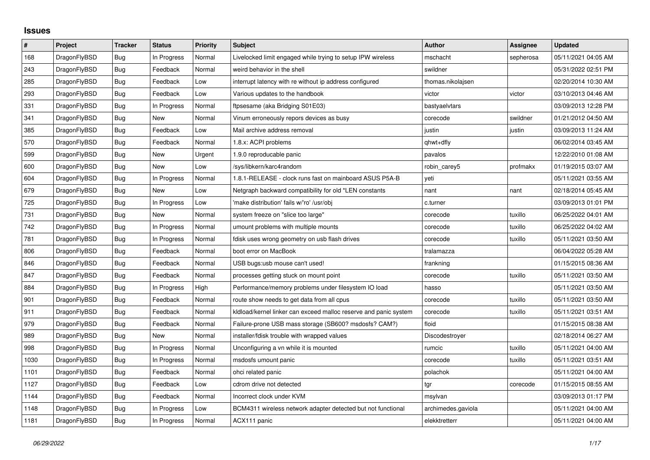## **Issues**

| $\vert$ # | Project      | Tracker    | <b>Status</b> | <b>Priority</b> | <b>Subject</b>                                                   | <b>Author</b>      | <b>Assignee</b> | <b>Updated</b>      |
|-----------|--------------|------------|---------------|-----------------|------------------------------------------------------------------|--------------------|-----------------|---------------------|
| 168       | DragonFlyBSD | Bug        | In Progress   | Normal          | Livelocked limit engaged while trying to setup IPW wireless      | mschacht           | sepherosa       | 05/11/2021 04:05 AM |
| 243       | DragonFlyBSD | <b>Bug</b> | Feedback      | Normal          | weird behavior in the shell                                      | swildner           |                 | 05/31/2022 02:51 PM |
| 285       | DragonFlyBSD | Bug        | Feedback      | Low             | interrupt latency with re without ip address configured          | thomas.nikolajsen  |                 | 02/20/2014 10:30 AM |
| 293       | DragonFlyBSD | Bug        | Feedback      | Low             | Various updates to the handbook                                  | victor             | victor          | 03/10/2013 04:46 AM |
| 331       | DragonFlyBSD | <b>Bug</b> | In Progress   | Normal          | ftpsesame (aka Bridging S01E03)                                  | bastyaelvtars      |                 | 03/09/2013 12:28 PM |
| 341       | DragonFlyBSD | Bug        | New           | Normal          | Vinum erroneously repors devices as busy                         | corecode           | swildner        | 01/21/2012 04:50 AM |
| 385       | DragonFlyBSD | Bug        | Feedback      | Low             | Mail archive address removal                                     | justin             | justin          | 03/09/2013 11:24 AM |
| 570       | DragonFlyBSD | Bug        | Feedback      | Normal          | 1.8.x: ACPI problems                                             | qhwt+dfly          |                 | 06/02/2014 03:45 AM |
| 599       | DragonFlyBSD | <b>Bug</b> | New           | Urgent          | 1.9.0 reproducable panic                                         | pavalos            |                 | 12/22/2010 01:08 AM |
| 600       | DragonFlyBSD | <b>Bug</b> | <b>New</b>    | Low             | /sys/libkern/karc4random                                         | robin_carey5       | profmakx        | 01/19/2015 03:07 AM |
| 604       | DragonFlyBSD | Bug        | In Progress   | Normal          | 1.8.1-RELEASE - clock runs fast on mainboard ASUS P5A-B          | yeti               |                 | 05/11/2021 03:55 AM |
| 679       | DragonFlyBSD | <b>Bug</b> | <b>New</b>    | Low             | Netgraph backward compatibility for old *LEN constants           | nant               | nant            | 02/18/2014 05:45 AM |
| 725       | DragonFlyBSD | Bug        | In Progress   | Low             | 'make distribution' fails w/'ro' /usr/obj                        | c.turner           |                 | 03/09/2013 01:01 PM |
| 731       | DragonFlyBSD | <b>Bug</b> | New           | Normal          | system freeze on "slice too large"                               | corecode           | tuxillo         | 06/25/2022 04:01 AM |
| 742       | DragonFlyBSD | <b>Bug</b> | In Progress   | Normal          | umount problems with multiple mounts                             | corecode           | tuxillo         | 06/25/2022 04:02 AM |
| 781       | DragonFlyBSD | Bug        | In Progress   | Normal          | fdisk uses wrong geometry on usb flash drives                    | corecode           | tuxillo         | 05/11/2021 03:50 AM |
| 806       | DragonFlyBSD | Bug        | Feedback      | Normal          | boot error on MacBook                                            | tralamazza         |                 | 06/04/2022 05:28 AM |
| 846       | DragonFlyBSD | <b>Bug</b> | Feedback      | Normal          | USB bugs:usb mouse can't used!                                   | frankning          |                 | 01/15/2015 08:36 AM |
| 847       | DragonFlyBSD | Bug        | Feedback      | Normal          | processes getting stuck on mount point                           | corecode           | tuxillo         | 05/11/2021 03:50 AM |
| 884       | DragonFlyBSD | <b>Bug</b> | In Progress   | High            | Performance/memory problems under filesystem IO load             | hasso              |                 | 05/11/2021 03:50 AM |
| 901       | DragonFlyBSD | <b>Bug</b> | Feedback      | Normal          | route show needs to get data from all cpus                       | corecode           | tuxillo         | 05/11/2021 03:50 AM |
| 911       | DragonFlyBSD | <b>Bug</b> | Feedback      | Normal          | kldload/kernel linker can exceed malloc reserve and panic system | corecode           | tuxillo         | 05/11/2021 03:51 AM |
| 979       | DragonFlyBSD | <b>Bug</b> | Feedback      | Normal          | Failure-prone USB mass storage (SB600? msdosfs? CAM?)            | floid              |                 | 01/15/2015 08:38 AM |
| 989       | DragonFlyBSD | Bug        | New           | Normal          | installer/fdisk trouble with wrapped values                      | Discodestroyer     |                 | 02/18/2014 06:27 AM |
| 998       | DragonFlyBSD | Bug        | In Progress   | Normal          | Unconfiguring a vn while it is mounted                           | rumcic             | tuxillo         | 05/11/2021 04:00 AM |
| 1030      | DragonFlyBSD | Bug        | In Progress   | Normal          | msdosfs umount panic                                             | corecode           | tuxillo         | 05/11/2021 03:51 AM |
| 1101      | DragonFlyBSD | <b>Bug</b> | Feedback      | Normal          | ohci related panic                                               | polachok           |                 | 05/11/2021 04:00 AM |
| 1127      | DragonFlyBSD | <b>Bug</b> | Feedback      | Low             | cdrom drive not detected                                         | tgr                | corecode        | 01/15/2015 08:55 AM |
| 1144      | DragonFlyBSD | <b>Bug</b> | Feedback      | Normal          | Incorrect clock under KVM                                        | msylvan            |                 | 03/09/2013 01:17 PM |
| 1148      | DragonFlyBSD | Bug        | In Progress   | Low             | BCM4311 wireless network adapter detected but not functional     | archimedes.gaviola |                 | 05/11/2021 04:00 AM |
| 1181      | DragonFlyBSD | <b>Bug</b> | In Progress   | Normal          | ACX111 panic                                                     | elekktretterr      |                 | 05/11/2021 04:00 AM |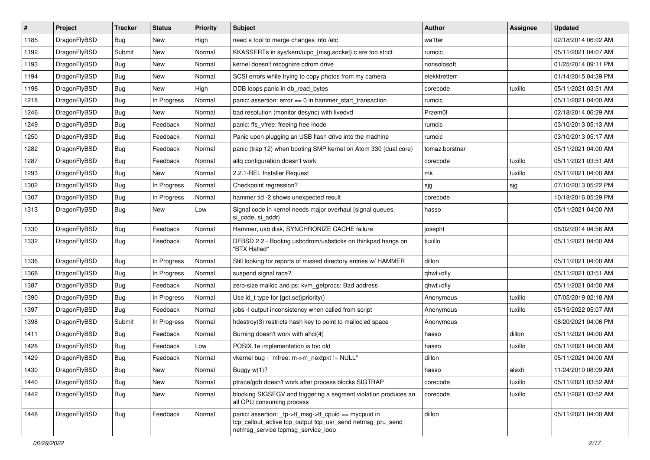| $\#$ | Project      | <b>Tracker</b> | <b>Status</b> | <b>Priority</b> | <b>Subject</b>                                                                                                                                            | Author         | Assignee | <b>Updated</b>      |
|------|--------------|----------------|---------------|-----------------|-----------------------------------------------------------------------------------------------------------------------------------------------------------|----------------|----------|---------------------|
| 1185 | DragonFlyBSD | <b>Bug</b>     | New           | High            | need a tool to merge changes into /etc                                                                                                                    | wa1ter         |          | 02/18/2014 06:02 AM |
| 1192 | DragonFlyBSD | Submit         | New           | Normal          | KKASSERTs in sys/kern/uipc_{msg,socket}.c are too strict                                                                                                  | rumcic         |          | 05/11/2021 04:07 AM |
| 1193 | DragonFlyBSD | <b>Bug</b>     | New           | Normal          | kernel doesn't recognize cdrom drive                                                                                                                      | nonsolosoft    |          | 01/25/2014 09:11 PM |
| 1194 | DragonFlyBSD | <b>Bug</b>     | New           | Normal          | SCSI errors while trying to copy photos from my camera                                                                                                    | elekktretterr  |          | 01/14/2015 04:39 PM |
| 1198 | DragonFlyBSD | <b>Bug</b>     | New           | High            | DDB loops panic in db_read_bytes                                                                                                                          | corecode       | tuxillo  | 05/11/2021 03:51 AM |
| 1218 | DragonFlyBSD | <b>Bug</b>     | In Progress   | Normal          | panic: assertion: $error == 0$ in hammer start transaction                                                                                                | rumcic         |          | 05/11/2021 04:00 AM |
| 1246 | DragonFlyBSD | <b>Bug</b>     | New           | Normal          | bad resolution (monitor desync) with livedvd                                                                                                              | Przem0l        |          | 02/18/2014 06:29 AM |
| 1249 | DragonFlyBSD | <b>Bug</b>     | Feedback      | Normal          | panic: ffs vfree: freeing free inode                                                                                                                      | rumcic         |          | 03/10/2013 05:13 AM |
| 1250 | DragonFlyBSD | Bug            | Feedback      | Normal          | Panic upon plugging an USB flash drive into the machine                                                                                                   | rumcic         |          | 03/10/2013 05:17 AM |
| 1282 | DragonFlyBSD | <b>Bug</b>     | Feedback      | Normal          | panic (trap 12) when booting SMP kernel on Atom 330 (dual core)                                                                                           | tomaz.borstnar |          | 05/11/2021 04:00 AM |
| 1287 | DragonFlyBSD | <b>Bug</b>     | Feedback      | Normal          | altg configuration doesn't work                                                                                                                           | corecode       | tuxillo  | 05/11/2021 03:51 AM |
| 1293 | DragonFlyBSD | Bug            | New           | Normal          | 2.2.1-REL Installer Request                                                                                                                               | mk             | tuxillo  | 05/11/2021 04:00 AM |
| 1302 | DragonFlyBSD | Bug            | In Progress   | Normal          | Checkpoint regression?                                                                                                                                    | sjg            | sjg      | 07/10/2013 05:22 PM |
| 1307 | DragonFlyBSD | Bug            | In Progress   | Normal          | hammer tid -2 shows unexpected result                                                                                                                     | corecode       |          | 10/18/2016 05:29 PM |
| 1313 | DragonFlyBSD | <b>Bug</b>     | New           | Low             | Signal code in kernel needs major overhaul (signal queues,<br>si code, si addr)                                                                           | hasso          |          | 05/11/2021 04:00 AM |
| 1330 | DragonFlyBSD | Bug            | Feedback      | Normal          | Hammer, usb disk, SYNCHRONIZE CACHE failure                                                                                                               | josepht        |          | 06/02/2014 04:56 AM |
| 1332 | DragonFlyBSD | Bug            | Feedback      | Normal          | DFBSD 2.2 - Booting usbcdrom/usbsticks on thinkpad hangs on<br>"BTX Halted"                                                                               | tuxillo        |          | 05/11/2021 04:00 AM |
| 1336 | DragonFlyBSD | Bug            | In Progress   | Normal          | Still looking for reports of missed directory entries w/ HAMMER                                                                                           | dillon         |          | 05/11/2021 04:00 AM |
| 1368 | DragonFlyBSD | Bug            | In Progress   | Normal          | suspend signal race?                                                                                                                                      | qhwt+dfly      |          | 05/11/2021 03:51 AM |
| 1387 | DragonFlyBSD | Bug            | Feedback      | Normal          | zero-size malloc and ps: kvm_getprocs: Bad address                                                                                                        | qhwt+dfly      |          | 05/11/2021 04:00 AM |
| 1390 | DragonFlyBSD | <b>Bug</b>     | In Progress   | Normal          | Use id_t type for {get,set}priority()                                                                                                                     | Anonymous      | tuxillo  | 07/05/2019 02:18 AM |
| 1397 | DragonFlyBSD | Bug            | Feedback      | Normal          | jobs -I output inconsistency when called from script                                                                                                      | Anonymous      | tuxillo  | 05/15/2022 05:07 AM |
| 1398 | DragonFlyBSD | Submit         | In Progress   | Normal          | hdestroy(3) restricts hash key to point to malloc'ed space                                                                                                | Anonymous      |          | 08/20/2021 04:06 PM |
| 1411 | DragonFlyBSD | Bug            | Feedback      | Normal          | Burning doesn't work with ahci(4)                                                                                                                         | hasso          | dillon   | 05/11/2021 04:00 AM |
| 1428 | DragonFlyBSD | <b>Bug</b>     | Feedback      | Low             | POSIX.1e implementation is too old                                                                                                                        | hasso          | tuxillo  | 05/11/2021 04:00 AM |
| 1429 | DragonFlyBSD | <b>Bug</b>     | Feedback      | Normal          | vkernel bug - "mfree: m->m_nextpkt != NULL"                                                                                                               | dillon         |          | 05/11/2021 04:00 AM |
| 1430 | DragonFlyBSD | Bug            | New           | Normal          | Buggy w(1)?                                                                                                                                               | hasso          | alexh    | 11/24/2010 08:09 AM |
| 1440 | DragonFlyBSD | Bug            | New           | Normal          | ptrace/gdb doesn't work after process blocks SIGTRAP                                                                                                      | corecode       | tuxillo  | 05/11/2021 03:52 AM |
| 1442 | DragonFlyBSD | <b>Bug</b>     | New           | Normal          | blocking SIGSEGV and triggering a segment violation produces an<br>all CPU consuming process                                                              | corecode       | tuxillo  | 05/11/2021 03:52 AM |
| 1448 | DragonFlyBSD | Bug            | Feedback      | Normal          | panic: assertion: _tp->tt_msg->tt_cpuid == mycpuid in<br>tcp_callout_active tcp_output tcp_usr_send netmsg_pru_send<br>netmsg_service tcpmsg_service_loop | dillon         |          | 05/11/2021 04:00 AM |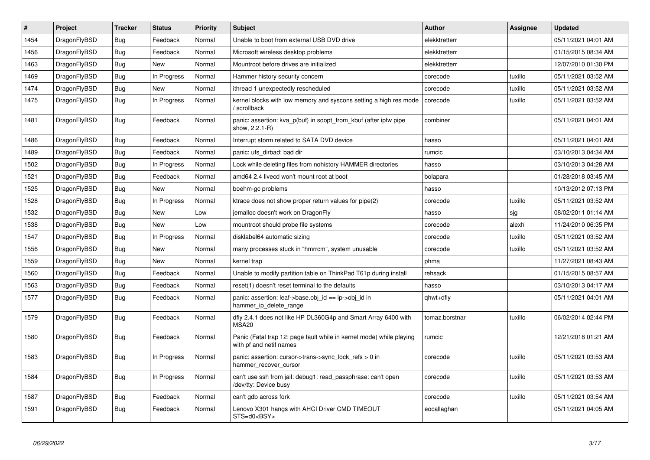| $\vert$ # | <b>Project</b> | <b>Tracker</b> | <b>Status</b> | <b>Priority</b> | <b>Subject</b>                                                                                  | <b>Author</b>  | <b>Assignee</b> | <b>Updated</b>      |
|-----------|----------------|----------------|---------------|-----------------|-------------------------------------------------------------------------------------------------|----------------|-----------------|---------------------|
| 1454      | DragonFlyBSD   | <b>Bug</b>     | Feedback      | Normal          | Unable to boot from external USB DVD drive                                                      | elekktretterr  |                 | 05/11/2021 04:01 AM |
| 1456      | DragonFlyBSD   | <b>Bug</b>     | Feedback      | Normal          | Microsoft wireless desktop problems                                                             | elekktretterr  |                 | 01/15/2015 08:34 AM |
| 1463      | DragonFlyBSD   | <b>Bug</b>     | <b>New</b>    | Normal          | Mountroot before drives are initialized                                                         | elekktretterr  |                 | 12/07/2010 01:30 PM |
| 1469      | DragonFlyBSD   | <b>Bug</b>     | In Progress   | Normal          | Hammer history security concern                                                                 | corecode       | tuxillo         | 05/11/2021 03:52 AM |
| 1474      | DragonFlyBSD   | <b>Bug</b>     | <b>New</b>    | Normal          | ithread 1 unexpectedly rescheduled                                                              | corecode       | tuxillo         | 05/11/2021 03:52 AM |
| 1475      | DragonFlyBSD   | <b>Bug</b>     | In Progress   | Normal          | kernel blocks with low memory and syscons setting a high res mode<br>/ scrollback               | corecode       | tuxillo         | 05/11/2021 03:52 AM |
| 1481      | DragonFlyBSD   | <b>Bug</b>     | Feedback      | Normal          | panic: assertion: kva_p(buf) in soopt_from_kbuf (after ipfw pipe<br>show, 2.2.1-R)              | combiner       |                 | 05/11/2021 04:01 AM |
| 1486      | DragonFlyBSD   | <b>Bug</b>     | Feedback      | Normal          | Interrupt storm related to SATA DVD device                                                      | hasso          |                 | 05/11/2021 04:01 AM |
| 1489      | DragonFlyBSD   | <b>Bug</b>     | Feedback      | Normal          | panic: ufs dirbad: bad dir                                                                      | rumcic         |                 | 03/10/2013 04:34 AM |
| 1502      | DragonFlyBSD   | <b>Bug</b>     | In Progress   | Normal          | Lock while deleting files from nohistory HAMMER directories                                     | hasso          |                 | 03/10/2013 04:28 AM |
| 1521      | DragonFlyBSD   | <b>Bug</b>     | Feedback      | Normal          | amd64 2.4 livecd won't mount root at boot                                                       | bolapara       |                 | 01/28/2018 03:45 AM |
| 1525      | DragonFlyBSD   | <b>Bug</b>     | <b>New</b>    | Normal          | boehm-gc problems                                                                               | hasso          |                 | 10/13/2012 07:13 PM |
| 1528      | DragonFlyBSD   | <b>Bug</b>     | In Progress   | Normal          | ktrace does not show proper return values for pipe(2)                                           | corecode       | tuxillo         | 05/11/2021 03:52 AM |
| 1532      | DragonFlyBSD   | Bug            | <b>New</b>    | Low             | jemalloc doesn't work on DragonFly                                                              | hasso          | sjg             | 08/02/2011 01:14 AM |
| 1538      | DragonFlyBSD   | <b>Bug</b>     | <b>New</b>    | Low             | mountroot should probe file systems                                                             | corecode       | alexh           | 11/24/2010 06:35 PM |
| 1547      | DragonFlyBSD   | <b>Bug</b>     | In Progress   | Normal          | disklabel64 automatic sizing                                                                    | corecode       | tuxillo         | 05/11/2021 03:52 AM |
| 1556      | DragonFlyBSD   | <b>Bug</b>     | <b>New</b>    | Normal          | many processes stuck in "hmrrcm", system unusable                                               | corecode       | tuxillo         | 05/11/2021 03:52 AM |
| 1559      | DragonFlyBSD   | <b>Bug</b>     | <b>New</b>    | Normal          | kernel trap                                                                                     | phma           |                 | 11/27/2021 08:43 AM |
| 1560      | DragonFlyBSD   | <b>Bug</b>     | Feedback      | Normal          | Unable to modify partition table on ThinkPad T61p during install                                | rehsack        |                 | 01/15/2015 08:57 AM |
| 1563      | DragonFlyBSD   | Bug            | Feedback      | Normal          | reset(1) doesn't reset terminal to the defaults                                                 | hasso          |                 | 03/10/2013 04:17 AM |
| 1577      | DragonFlyBSD   | <b>Bug</b>     | Feedback      | Normal          | panic: assertion: leaf->base.obj_id == ip->obj_id in<br>hammer_ip_delete_range                  | qhwt+dfly      |                 | 05/11/2021 04:01 AM |
| 1579      | DragonFlyBSD   | <b>Bug</b>     | Feedback      | Normal          | dfly 2.4.1 does not like HP DL360G4p and Smart Array 6400 with<br><b>MSA20</b>                  | tomaz.borstnar | tuxillo         | 06/02/2014 02:44 PM |
| 1580      | DragonFlyBSD   | Bug            | Feedback      | Normal          | Panic (Fatal trap 12: page fault while in kernel mode) while playing<br>with pf and netif names | rumcic         |                 | 12/21/2018 01:21 AM |
| 1583      | DragonFlyBSD   | <b>Bug</b>     | In Progress   | Normal          | panic: assertion: cursor->trans->sync_lock_refs > 0 in<br>hammer_recover_cursor                 | corecode       | tuxillo         | 05/11/2021 03:53 AM |
| 1584      | DragonFlyBSD   | Bug            | In Progress   | Normal          | can't use ssh from jail: debug1: read passphrase: can't open<br>/dev/tty: Device busy           | corecode       | tuxillo         | 05/11/2021 03:53 AM |
| 1587      | DragonFlyBSD   | <b>Bug</b>     | Feedback      | Normal          | can't gdb across fork                                                                           | corecode       | tuxillo         | 05/11/2021 03:54 AM |
| 1591      | DragonFlyBSD   | <b>Bug</b>     | Feedback      | Normal          | Lenovo X301 hangs with AHCI Driver CMD TIMEOUT<br>STS=d0 <bsy></bsy>                            | eocallaghan    |                 | 05/11/2021 04:05 AM |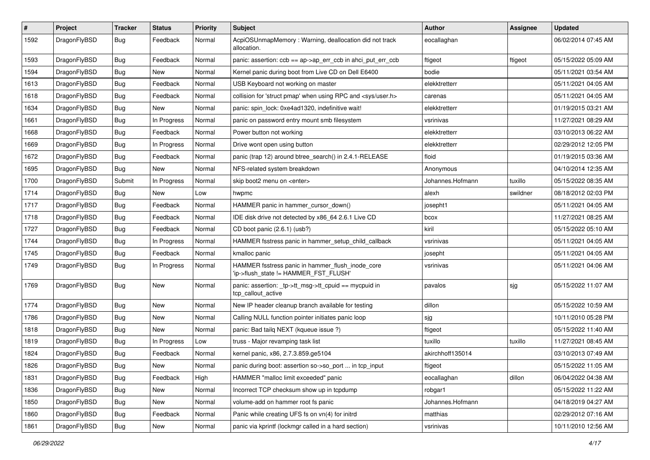| $\sharp$ | Project      | <b>Tracker</b> | <b>Status</b> | <b>Priority</b> | Subject                                                                                   | Author           | Assignee | <b>Updated</b>      |
|----------|--------------|----------------|---------------|-----------------|-------------------------------------------------------------------------------------------|------------------|----------|---------------------|
| 1592     | DragonFlyBSD | Bug            | Feedback      | Normal          | AcpiOSUnmapMemory: Warning, deallocation did not track<br>allocation.                     | eocallaghan      |          | 06/02/2014 07:45 AM |
| 1593     | DragonFlyBSD | Bug            | Feedback      | Normal          | panic: assertion: $ccb == ap > ap$ err $ccb$ in ahci put err $ccb$                        | ftigeot          | ftigeot  | 05/15/2022 05:09 AM |
| 1594     | DragonFlyBSD | <b>Bug</b>     | New           | Normal          | Kernel panic during boot from Live CD on Dell E6400                                       | bodie            |          | 05/11/2021 03:54 AM |
| 1613     | DragonFlyBSD | Bug            | Feedback      | Normal          | USB Keyboard not working on master                                                        | elekktretterr    |          | 05/11/2021 04:05 AM |
| 1618     | DragonFlyBSD | <b>Bug</b>     | Feedback      | Normal          | collision for 'struct pmap' when using RPC and <sys user.h=""></sys>                      | carenas          |          | 05/11/2021 04:05 AM |
| 1634     | DragonFlyBSD | <b>Bug</b>     | New           | Normal          | panic: spin_lock: 0xe4ad1320, indefinitive wait!                                          | elekktretterr    |          | 01/19/2015 03:21 AM |
| 1661     | DragonFlyBSD | Bug            | In Progress   | Normal          | panic on password entry mount smb filesystem                                              | vsrinivas        |          | 11/27/2021 08:29 AM |
| 1668     | DragonFlyBSD | Bug            | Feedback      | Normal          | Power button not working                                                                  | elekktretterr    |          | 03/10/2013 06:22 AM |
| 1669     | DragonFlyBSD | Bug            | In Progress   | Normal          | Drive wont open using button                                                              | elekktretterr    |          | 02/29/2012 12:05 PM |
| 1672     | DragonFlyBSD | Bug            | Feedback      | Normal          | panic (trap 12) around btree_search() in 2.4.1-RELEASE                                    | floid            |          | 01/19/2015 03:36 AM |
| 1695     | DragonFlyBSD | Bug            | New           | Normal          | NFS-related system breakdown                                                              | Anonymous        |          | 04/10/2014 12:35 AM |
| 1700     | DragonFlyBSD | Submit         | In Progress   | Normal          | skip boot2 menu on <enter></enter>                                                        | Johannes.Hofmann | tuxillo  | 05/15/2022 08:35 AM |
| 1714     | DragonFlyBSD | Bug            | New           | Low             | hwpmc                                                                                     | alexh            | swildner | 08/18/2012 02:03 PM |
| 1717     | DragonFlyBSD | Bug            | Feedback      | Normal          | HAMMER panic in hammer cursor down()                                                      | josepht1         |          | 05/11/2021 04:05 AM |
| 1718     | DragonFlyBSD | <b>Bug</b>     | Feedback      | Normal          | IDE disk drive not detected by x86_64 2.6.1 Live CD                                       | bcox             |          | 11/27/2021 08:25 AM |
| 1727     | DragonFlyBSD | <b>Bug</b>     | Feedback      | Normal          | CD boot panic (2.6.1) (usb?)                                                              | kiril            |          | 05/15/2022 05:10 AM |
| 1744     | DragonFlyBSD | <b>Bug</b>     | In Progress   | Normal          | HAMMER fsstress panic in hammer_setup_child_callback                                      | vsrinivas        |          | 05/11/2021 04:05 AM |
| 1745     | DragonFlyBSD | <b>Bug</b>     | Feedback      | Normal          | kmalloc panic                                                                             | josepht          |          | 05/11/2021 04:05 AM |
| 1749     | DragonFlyBSD | <b>Bug</b>     | In Progress   | Normal          | HAMMER fsstress panic in hammer_flush_inode_core<br>'ip->flush_state != HAMMER_FST_FLUSH' | vsrinivas        |          | 05/11/2021 04:06 AM |
| 1769     | DragonFlyBSD | Bug            | New           | Normal          | panic: assertion: _tp->tt_msg->tt_cpuid == mycpuid in<br>tcp callout active               | pavalos          | sjg      | 05/15/2022 11:07 AM |
| 1774     | DragonFlyBSD | <b>Bug</b>     | New           | Normal          | New IP header cleanup branch available for testing                                        | dillon           |          | 05/15/2022 10:59 AM |
| 1786     | DragonFlyBSD | <b>Bug</b>     | New           | Normal          | Calling NULL function pointer initiates panic loop                                        | sjg              |          | 10/11/2010 05:28 PM |
| 1818     | DragonFlyBSD | <b>Bug</b>     | <b>New</b>    | Normal          | panic: Bad tailg NEXT (kqueue issue ?)                                                    | ftigeot          |          | 05/15/2022 11:40 AM |
| 1819     | DragonFlyBSD | <b>Bug</b>     | In Progress   | Low             | truss - Major revamping task list                                                         | tuxillo          | tuxillo  | 11/27/2021 08:45 AM |
| 1824     | DragonFlyBSD | <b>Bug</b>     | Feedback      | Normal          | kernel panic, x86, 2.7.3.859.ge5104                                                       | akirchhoff135014 |          | 03/10/2013 07:49 AM |
| 1826     | DragonFlyBSD | Bug            | <b>New</b>    | Normal          | panic during boot: assertion so->so_port  in tcp_input                                    | ftigeot          |          | 05/15/2022 11:05 AM |
| 1831     | DragonFlyBSD | <b>Bug</b>     | Feedback      | High            | HAMMER "malloc limit exceeded" panic                                                      | eocallaghan      | dillon   | 06/04/2022 04:38 AM |
| 1836     | DragonFlyBSD | Bug            | <b>New</b>    | Normal          | Incorrect TCP checksum show up in tcpdump                                                 | robgar1          |          | 05/15/2022 11:22 AM |
| 1850     | DragonFlyBSD | Bug            | New           | Normal          | volume-add on hammer root fs panic                                                        | Johannes.Hofmann |          | 04/18/2019 04:27 AM |
| 1860     | DragonFlyBSD | Bug            | Feedback      | Normal          | Panic while creating UFS fs on vn(4) for initrd                                           | matthias         |          | 02/29/2012 07:16 AM |
| 1861     | DragonFlyBSD | <b>Bug</b>     | New           | Normal          | panic via kprintf (lockmgr called in a hard section)                                      | vsrinivas        |          | 10/11/2010 12:56 AM |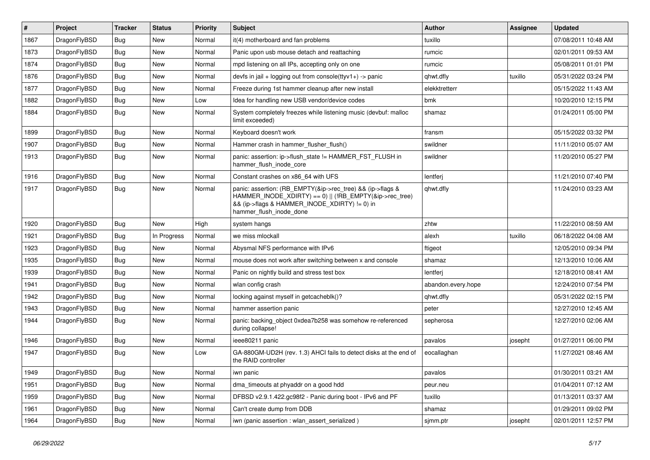| $\vert$ # | Project      | <b>Tracker</b> | <b>Status</b> | <b>Priority</b> | <b>Subject</b>                                                                                                                                                                                    | <b>Author</b>      | <b>Assignee</b> | <b>Updated</b>      |
|-----------|--------------|----------------|---------------|-----------------|---------------------------------------------------------------------------------------------------------------------------------------------------------------------------------------------------|--------------------|-----------------|---------------------|
| 1867      | DragonFlyBSD | <b>Bug</b>     | <b>New</b>    | Normal          | it(4) motherboard and fan problems                                                                                                                                                                | tuxillo            |                 | 07/08/2011 10:48 AM |
| 1873      | DragonFlyBSD | <b>Bug</b>     | <b>New</b>    | Normal          | Panic upon usb mouse detach and reattaching                                                                                                                                                       | rumcic             |                 | 02/01/2011 09:53 AM |
| 1874      | DragonFlyBSD | Bug            | <b>New</b>    | Normal          | mpd listening on all IPs, accepting only on one                                                                                                                                                   | rumcic             |                 | 05/08/2011 01:01 PM |
| 1876      | DragonFlyBSD | Bug            | <b>New</b>    | Normal          | devfs in jail + logging out from console(ttyv1+) -> panic                                                                                                                                         | qhwt.dfly          | tuxillo         | 05/31/2022 03:24 PM |
| 1877      | DragonFlyBSD | <b>Bug</b>     | <b>New</b>    | Normal          | Freeze during 1st hammer cleanup after new install                                                                                                                                                | elekktretterr      |                 | 05/15/2022 11:43 AM |
| 1882      | DragonFlyBSD | Bug            | <b>New</b>    | Low             | Idea for handling new USB vendor/device codes                                                                                                                                                     | bmk                |                 | 10/20/2010 12:15 PM |
| 1884      | DragonFlyBSD | Bug            | <b>New</b>    | Normal          | System completely freezes while listening music (devbuf: malloc<br>limit exceeded)                                                                                                                | shamaz             |                 | 01/24/2011 05:00 PM |
| 1899      | DragonFlyBSD | <b>Bug</b>     | <b>New</b>    | Normal          | Keyboard doesn't work                                                                                                                                                                             | fransm             |                 | 05/15/2022 03:32 PM |
| 1907      | DragonFlyBSD | <b>Bug</b>     | <b>New</b>    | Normal          | Hammer crash in hammer_flusher_flush()                                                                                                                                                            | swildner           |                 | 11/11/2010 05:07 AM |
| 1913      | DragonFlyBSD | Bug            | <b>New</b>    | Normal          | panic: assertion: ip->flush state != HAMMER FST FLUSH in<br>hammer_flush_inode_core                                                                                                               | swildner           |                 | 11/20/2010 05:27 PM |
| 1916      | DragonFlyBSD | Bug            | <b>New</b>    | Normal          | Constant crashes on x86_64 with UFS                                                                                                                                                               | lentferj           |                 | 11/21/2010 07:40 PM |
| 1917      | DragonFlyBSD | Bug            | <b>New</b>    | Normal          | panic: assertion: (RB_EMPTY(&ip->rec_tree) && (ip->flags &<br>HAMMER_INODE_XDIRTY) == 0)    (!RB_EMPTY(&ip->rec_tree)<br>&& (ip->flags & HAMMER_INODE_XDIRTY) != 0) in<br>hammer flush inode done | qhwt.dfly          |                 | 11/24/2010 03:23 AM |
| 1920      | DragonFlyBSD | <b>Bug</b>     | <b>New</b>    | High            | system hangs                                                                                                                                                                                      | zhtw               |                 | 11/22/2010 08:59 AM |
| 1921      | DragonFlyBSD | <b>Bug</b>     | In Progress   | Normal          | we miss mlockall                                                                                                                                                                                  | alexh              | tuxillo         | 06/18/2022 04:08 AM |
| 1923      | DragonFlyBSD | <b>Bug</b>     | <b>New</b>    | Normal          | Abysmal NFS performance with IPv6                                                                                                                                                                 | ftigeot            |                 | 12/05/2010 09:34 PM |
| 1935      | DragonFlyBSD | <b>Bug</b>     | <b>New</b>    | Normal          | mouse does not work after switching between x and console                                                                                                                                         | shamaz             |                 | 12/13/2010 10:06 AM |
| 1939      | DragonFlyBSD | <b>Bug</b>     | <b>New</b>    | Normal          | Panic on nightly build and stress test box                                                                                                                                                        | lentferj           |                 | 12/18/2010 08:41 AM |
| 1941      | DragonFlyBSD | Bug            | <b>New</b>    | Normal          | wlan config crash                                                                                                                                                                                 | abandon.every.hope |                 | 12/24/2010 07:54 PM |
| 1942      | DragonFlyBSD | <b>Bug</b>     | <b>New</b>    | Normal          | locking against myself in getcacheblk()?                                                                                                                                                          | qhwt.dfly          |                 | 05/31/2022 02:15 PM |
| 1943      | DragonFlyBSD | Bug            | <b>New</b>    | Normal          | hammer assertion panic                                                                                                                                                                            | peter              |                 | 12/27/2010 12:45 AM |
| 1944      | DragonFlyBSD | Bug            | <b>New</b>    | Normal          | panic: backing object 0xdea7b258 was somehow re-referenced<br>during collapse!                                                                                                                    | sepherosa          |                 | 12/27/2010 02:06 AM |
| 1946      | DragonFlyBSD | Bug            | <b>New</b>    | Normal          | ieee80211 panic                                                                                                                                                                                   | pavalos            | josepht         | 01/27/2011 06:00 PM |
| 1947      | DragonFlyBSD | Bug            | <b>New</b>    | Low             | GA-880GM-UD2H (rev. 1.3) AHCI fails to detect disks at the end of<br>the RAID controller                                                                                                          | eocallaghan        |                 | 11/27/2021 08:46 AM |
| 1949      | DragonFlyBSD | Bug            | New           | Normal          | iwn panic                                                                                                                                                                                         | pavalos            |                 | 01/30/2011 03:21 AM |
| 1951      | DragonFlyBSD | <b>Bug</b>     | New           | Normal          | dma_timeouts at phyaddr on a good hdd                                                                                                                                                             | peur.neu           |                 | 01/04/2011 07:12 AM |
| 1959      | DragonFlyBSD | Bug            | New           | Normal          | DFBSD v2.9.1.422.gc98f2 - Panic during boot - IPv6 and PF                                                                                                                                         | tuxillo            |                 | 01/13/2011 03:37 AM |
| 1961      | DragonFlyBSD | <b>Bug</b>     | New           | Normal          | Can't create dump from DDB                                                                                                                                                                        | shamaz             |                 | 01/29/2011 09:02 PM |
| 1964      | DragonFlyBSD | <b>Bug</b>     | New           | Normal          | iwn (panic assertion : wlan_assert_serialized)                                                                                                                                                    | sjmm.ptr           | josepht         | 02/01/2011 12:57 PM |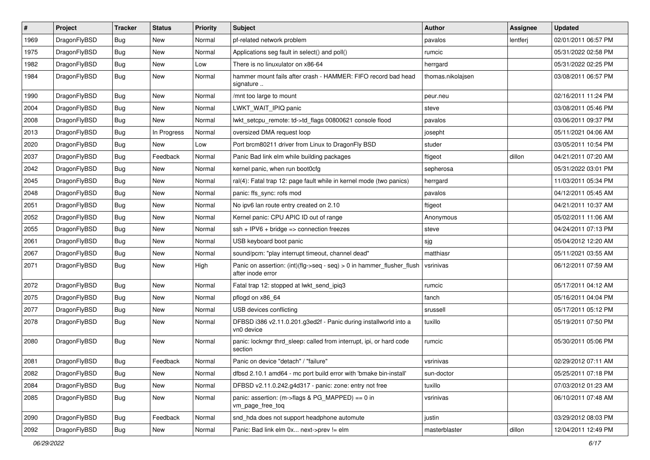| $\sharp$ | Project      | <b>Tracker</b> | <b>Status</b> | <b>Priority</b> | Subject                                                                                    | Author            | Assignee | <b>Updated</b>      |
|----------|--------------|----------------|---------------|-----------------|--------------------------------------------------------------------------------------------|-------------------|----------|---------------------|
| 1969     | DragonFlyBSD | <b>Bug</b>     | New           | Normal          | pf-related network problem                                                                 | pavalos           | lentferj | 02/01/2011 06:57 PM |
| 1975     | DragonFlyBSD | Bug            | New           | Normal          | Applications seg fault in select() and poll()                                              | rumcic            |          | 05/31/2022 02:58 PM |
| 1982     | DragonFlyBSD | <b>Bug</b>     | New           | Low             | There is no linuxulator on x86-64                                                          | herrgard          |          | 05/31/2022 02:25 PM |
| 1984     | DragonFlyBSD | <b>Bug</b>     | <b>New</b>    | Normal          | hammer mount fails after crash - HAMMER: FIFO record bad head<br>signature                 | thomas.nikolajsen |          | 03/08/2011 06:57 PM |
| 1990     | DragonFlyBSD | Bug            | New           | Normal          | /mnt too large to mount                                                                    | peur.neu          |          | 02/16/2011 11:24 PM |
| 2004     | DragonFlyBSD | <b>Bug</b>     | New           | Normal          | LWKT_WAIT_IPIQ panic                                                                       | steve             |          | 03/08/2011 05:46 PM |
| 2008     | DragonFlyBSD | <b>Bug</b>     | New           | Normal          | lwkt_setcpu_remote: td->td_flags 00800621 console flood                                    | pavalos           |          | 03/06/2011 09:37 PM |
| 2013     | DragonFlyBSD | <b>Bug</b>     | In Progress   | Normal          | oversized DMA request loop                                                                 | josepht           |          | 05/11/2021 04:06 AM |
| 2020     | DragonFlyBSD | Bug            | <b>New</b>    | Low             | Port brcm80211 driver from Linux to DragonFly BSD                                          | studer            |          | 03/05/2011 10:54 PM |
| 2037     | DragonFlyBSD | <b>Bug</b>     | Feedback      | Normal          | Panic Bad link elm while building packages                                                 | ftigeot           | dillon   | 04/21/2011 07:20 AM |
| 2042     | DragonFlyBSD | <b>Bug</b>     | New           | Normal          | kernel panic, when run boot0cfg                                                            | sepherosa         |          | 05/31/2022 03:01 PM |
| 2045     | DragonFlyBSD | <b>Bug</b>     | New           | Normal          | ral(4): Fatal trap 12: page fault while in kernel mode (two panics)                        | herrgard          |          | 11/03/2011 05:34 PM |
| 2048     | DragonFlyBSD | <b>Bug</b>     | <b>New</b>    | Normal          | panic: ffs_sync: rofs mod                                                                  | pavalos           |          | 04/12/2011 05:45 AM |
| 2051     | DragonFlyBSD | Bug            | <b>New</b>    | Normal          | No ipv6 lan route entry created on 2.10                                                    | ftigeot           |          | 04/21/2011 10:37 AM |
| 2052     | DragonFlyBSD | <b>Bug</b>     | <b>New</b>    | Normal          | Kernel panic: CPU APIC ID out of range                                                     | Anonymous         |          | 05/02/2011 11:06 AM |
| 2055     | DragonFlyBSD | <b>Bug</b>     | New           | Normal          | $ssh + IPV6 + bridge \Rightarrow connection freezes$                                       | steve             |          | 04/24/2011 07:13 PM |
| 2061     | DragonFlyBSD | <b>Bug</b>     | <b>New</b>    | Normal          | USB keyboard boot panic                                                                    | sjg               |          | 05/04/2012 12:20 AM |
| 2067     | DragonFlyBSD | <b>Bug</b>     | New           | Normal          | sound/pcm: "play interrupt timeout, channel dead"                                          | matthiasr         |          | 05/11/2021 03:55 AM |
| 2071     | DragonFlyBSD | <b>Bug</b>     | New           | High            | Panic on assertion: (int)(flg->seq - seq) > 0 in hammer_flusher_flush<br>after inode error | vsrinivas         |          | 06/12/2011 07:59 AM |
| 2072     | DragonFlyBSD | Bug            | <b>New</b>    | Normal          | Fatal trap 12: stopped at lwkt_send_ipiq3                                                  | rumcic            |          | 05/17/2011 04:12 AM |
| 2075     | DragonFlyBSD | Bug            | New           | Normal          | pflogd on x86_64                                                                           | fanch             |          | 05/16/2011 04:04 PM |
| 2077     | DragonFlyBSD | <b>Bug</b>     | New           | Normal          | USB devices conflicting                                                                    | srussell          |          | 05/17/2011 05:12 PM |
| 2078     | DragonFlyBSD | <b>Bug</b>     | <b>New</b>    | Normal          | DFBSD i386 v2.11.0.201.g3ed2f - Panic during installworld into a<br>vn0 device             | tuxillo           |          | 05/19/2011 07:50 PM |
| 2080     | DragonFlyBSD | Bug            | New           | Normal          | panic: lockmgr thrd_sleep: called from interrupt, ipi, or hard code<br>section             | rumcic            |          | 05/30/2011 05:06 PM |
| 2081     | DragonFlyBSD | Bug            | Feedback      | Normal          | Panic on device "detach" / "failure"                                                       | vsrinivas         |          | 02/29/2012 07:11 AM |
| 2082     | DragonFlyBSD | <b>Bug</b>     | New           | Normal          | dfbsd 2.10.1 amd64 - mc port build error with 'bmake bin-install'                          | sun-doctor        |          | 05/25/2011 07:18 PM |
| 2084     | DragonFlyBSD | <b>Bug</b>     | New           | Normal          | DFBSD v2.11.0.242.g4d317 - panic: zone: entry not free                                     | tuxillo           |          | 07/03/2012 01:23 AM |
| 2085     | DragonFlyBSD | <b>Bug</b>     | New           | Normal          | panic: assertion: (m->flags & PG_MAPPED) == 0 in<br>vm_page_free_toq                       | vsrinivas         |          | 06/10/2011 07:48 AM |
| 2090     | DragonFlyBSD | Bug            | Feedback      | Normal          | snd_hda does not support headphone automute                                                | justin            |          | 03/29/2012 08:03 PM |
| 2092     | DragonFlyBSD | <b>Bug</b>     | New           | Normal          | Panic: Bad link elm 0x next->prev != elm                                                   | masterblaster     | dillon   | 12/04/2011 12:49 PM |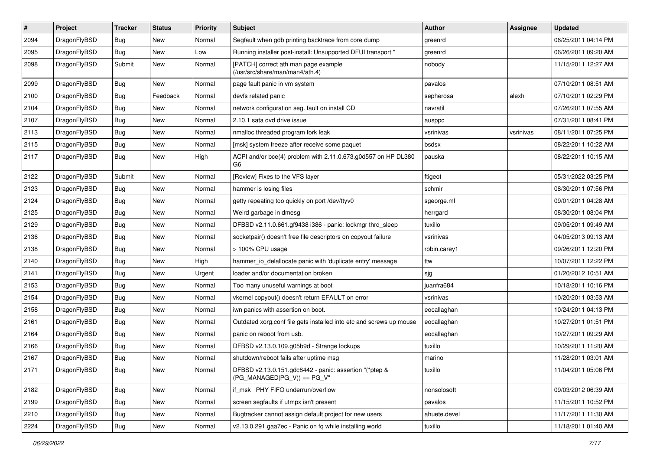| $\pmb{\#}$ | Project      | <b>Tracker</b> | <b>Status</b> | <b>Priority</b> | <b>Subject</b>                                                                          | Author       | <b>Assignee</b> | <b>Updated</b>      |
|------------|--------------|----------------|---------------|-----------------|-----------------------------------------------------------------------------------------|--------------|-----------------|---------------------|
| 2094       | DragonFlyBSD | Bug            | New           | Normal          | Segfault when gdb printing backtrace from core dump                                     | greenrd      |                 | 06/25/2011 04:14 PM |
| 2095       | DragonFlyBSD | Bug            | <b>New</b>    | Low             | Running installer post-install: Unsupported DFUI transport "                            | greenrd      |                 | 06/26/2011 09:20 AM |
| 2098       | DragonFlyBSD | Submit         | New           | Normal          | [PATCH] correct ath man page example<br>(/usr/src/share/man/man4/ath.4)                 | nobody       |                 | 11/15/2011 12:27 AM |
| 2099       | DragonFlyBSD | <b>Bug</b>     | <b>New</b>    | Normal          | page fault panic in vm system                                                           | pavalos      |                 | 07/10/2011 08:51 AM |
| 2100       | DragonFlyBSD | Bug            | Feedback      | Normal          | devfs related panic                                                                     | sepherosa    | alexh           | 07/10/2011 02:29 PM |
| 2104       | DragonFlyBSD | Bug            | <b>New</b>    | Normal          | network configuration seg. fault on install CD                                          | navratil     |                 | 07/26/2011 07:55 AM |
| 2107       | DragonFlyBSD | Bug            | <b>New</b>    | Normal          | 2.10.1 sata dvd drive issue                                                             | ausppc       |                 | 07/31/2011 08:41 PM |
| 2113       | DragonFlyBSD | Bug            | New           | Normal          | nmalloc threaded program fork leak                                                      | vsrinivas    | vsrinivas       | 08/11/2011 07:25 PM |
| 2115       | DragonFlyBSD | Bug            | New           | Normal          | [msk] system freeze after receive some paquet                                           | bsdsx        |                 | 08/22/2011 10:22 AM |
| 2117       | DragonFlyBSD | Bug            | New           | High            | ACPI and/or bce(4) problem with 2.11.0.673.g0d557 on HP DL380<br>G6                     | pauska       |                 | 08/22/2011 10:15 AM |
| 2122       | DragonFlyBSD | Submit         | New           | Normal          | [Review] Fixes to the VFS layer                                                         | ftigeot      |                 | 05/31/2022 03:25 PM |
| 2123       | DragonFlyBSD | Bug            | <b>New</b>    | Normal          | hammer is losing files                                                                  | schmir       |                 | 08/30/2011 07:56 PM |
| 2124       | DragonFlyBSD | Bug            | <b>New</b>    | Normal          | getty repeating too quickly on port /dev/ttyv0                                          | sgeorge.ml   |                 | 09/01/2011 04:28 AM |
| 2125       | DragonFlyBSD | Bug            | <b>New</b>    | Normal          | Weird garbage in dmesg                                                                  | herrgard     |                 | 08/30/2011 08:04 PM |
| 2129       | DragonFlyBSD | Bug            | New           | Normal          | DFBSD v2.11.0.661.gf9438 i386 - panic: lockmgr thrd_sleep                               | tuxillo      |                 | 09/05/2011 09:49 AM |
| 2136       | DragonFlyBSD | Bug            | <b>New</b>    | Normal          | socketpair() doesn't free file descriptors on copyout failure                           | vsrinivas    |                 | 04/05/2013 09:13 AM |
| 2138       | DragonFlyBSD | Bug            | New           | Normal          | > 100% CPU usage                                                                        | robin.carey1 |                 | 09/26/2011 12:20 PM |
| 2140       | DragonFlyBSD | Bug            | New           | High            | hammer_io_delallocate panic with 'duplicate entry' message                              | ttw          |                 | 10/07/2011 12:22 PM |
| 2141       | DragonFlyBSD | Bug            | New           | Urgent          | loader and/or documentation broken                                                      | sjg          |                 | 01/20/2012 10:51 AM |
| 2153       | DragonFlyBSD | <b>Bug</b>     | <b>New</b>    | Normal          | Too many unuseful warnings at boot                                                      | juanfra684   |                 | 10/18/2011 10:16 PM |
| 2154       | DragonFlyBSD | Bug            | <b>New</b>    | Normal          | vkernel copyout() doesn't return EFAULT on error                                        | vsrinivas    |                 | 10/20/2011 03:53 AM |
| 2158       | DragonFlyBSD | <b>Bug</b>     | New           | Normal          | iwn panics with assertion on boot.                                                      | eocallaghan  |                 | 10/24/2011 04:13 PM |
| 2161       | DragonFlyBSD | Bug            | New           | Normal          | Outdated xorg.conf file gets installed into etc and screws up mouse                     | eocallaghan  |                 | 10/27/2011 01:51 PM |
| 2164       | DragonFlyBSD | Bug            | New           | Normal          | panic on reboot from usb.                                                               | eocallaghan  |                 | 10/27/2011 09:29 AM |
| 2166       | DragonFlyBSD | Bug            | <b>New</b>    | Normal          | DFBSD v2.13.0.109.g05b9d - Strange lockups                                              | tuxillo      |                 | 10/29/2011 11:20 AM |
| 2167       | DragonFlyBSD | Bug            | <b>New</b>    | Normal          | shutdown/reboot fails after uptime msg                                                  | marino       |                 | 11/28/2011 03:01 AM |
| 2171       | DragonFlyBSD | Bug            | New           | Normal          | DFBSD v2.13.0.151.gdc8442 - panic: assertion "(*ptep &<br>$(PG$ MANAGED PG V)) == PG V" | tuxillo      |                 | 11/04/2011 05:06 PM |
| 2182       | DragonFlyBSD | Bug            | New           | Normal          | if msk PHY FIFO underrun/overflow                                                       | nonsolosoft  |                 | 09/03/2012 06:39 AM |
| 2199       | DragonFlyBSD | Bug            | New           | Normal          | screen segfaults if utmpx isn't present                                                 | pavalos      |                 | 11/15/2011 10:52 PM |
| 2210       | DragonFlyBSD | Bug            | New           | Normal          | Bugtracker cannot assign default project for new users                                  | ahuete.devel |                 | 11/17/2011 11:30 AM |
| 2224       | DragonFlyBSD | Bug            | New           | Normal          | v2.13.0.291.gaa7ec - Panic on fq while installing world                                 | tuxillo      |                 | 11/18/2011 01:40 AM |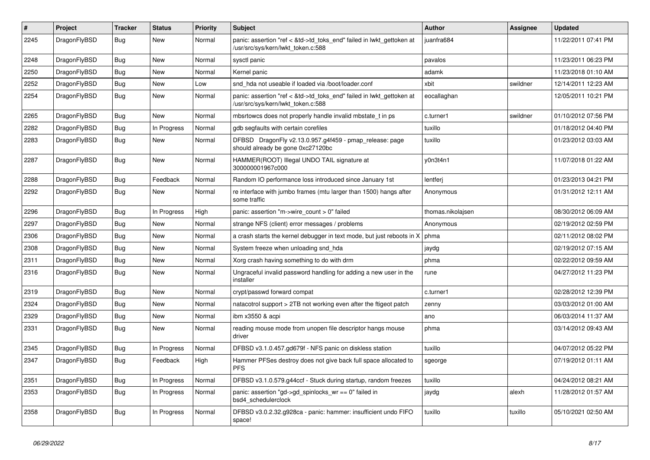| $\vert$ # | Project      | <b>Tracker</b> | <b>Status</b> | <b>Priority</b> | <b>Subject</b>                                                                                             | <b>Author</b>     | Assignee | Updated             |
|-----------|--------------|----------------|---------------|-----------------|------------------------------------------------------------------------------------------------------------|-------------------|----------|---------------------|
| 2245      | DragonFlyBSD | <b>Bug</b>     | <b>New</b>    | Normal          | panic: assertion "ref < &td->td toks end" failed in lwkt gettoken at<br>/usr/src/sys/kern/lwkt_token.c:588 | juanfra684        |          | 11/22/2011 07:41 PM |
| 2248      | DragonFlyBSD | <b>Bug</b>     | <b>New</b>    | Normal          | sysctl panic                                                                                               | pavalos           |          | 11/23/2011 06:23 PM |
| 2250      | DragonFlyBSD | <b>Bug</b>     | New           | Normal          | Kernel panic                                                                                               | adamk             |          | 11/23/2018 01:10 AM |
| 2252      | DragonFlyBSD | Bug            | <b>New</b>    | Low             | snd hda not useable if loaded via /boot/loader.conf                                                        | xbit              | swildner | 12/14/2011 12:23 AM |
| 2254      | DragonFlyBSD | <b>Bug</b>     | New           | Normal          | panic: assertion "ref < &td->td_toks_end" failed in lwkt_gettoken at<br>/usr/src/sys/kern/lwkt_token.c:588 | eocallaghan       |          | 12/05/2011 10:21 PM |
| 2265      | DragonFlyBSD | <b>Bug</b>     | <b>New</b>    | Normal          | mbsrtowcs does not properly handle invalid mbstate_t in ps                                                 | c.turner1         | swildner | 01/10/2012 07:56 PM |
| 2282      | DragonFlyBSD | <b>Bug</b>     | In Progress   | Normal          | gdb segfaults with certain corefiles                                                                       | tuxillo           |          | 01/18/2012 04:40 PM |
| 2283      | DragonFlyBSD | <b>Bug</b>     | New           | Normal          | DFBSD DragonFly v2.13.0.957.g4f459 - pmap_release: page<br>should already be gone 0xc27120bc               | tuxillo           |          | 01/23/2012 03:03 AM |
| 2287      | DragonFlyBSD | Bug            | <b>New</b>    | Normal          | HAMMER(ROOT) Illegal UNDO TAIL signature at<br>300000001967c000                                            | y0n3t4n1          |          | 11/07/2018 01:22 AM |
| 2288      | DragonFlyBSD | <b>Bug</b>     | Feedback      | Normal          | Random IO performance loss introduced since January 1st                                                    | lentferi          |          | 01/23/2013 04:21 PM |
| 2292      | DragonFlyBSD | Bug            | New           | Normal          | re interface with jumbo frames (mtu larger than 1500) hangs after<br>some traffic                          | Anonymous         |          | 01/31/2012 12:11 AM |
| 2296      | DragonFlyBSD | <b>Bug</b>     | In Progress   | High            | panic: assertion "m->wire count > $0$ " failed                                                             | thomas.nikolajsen |          | 08/30/2012 06:09 AM |
| 2297      | DragonFlyBSD | <b>Bug</b>     | <b>New</b>    | Normal          | strange NFS (client) error messages / problems                                                             | Anonymous         |          | 02/19/2012 02:59 PM |
| 2306      | DragonFlyBSD | <b>Bug</b>     | New           | Normal          | a crash starts the kernel debugger in text mode, but just reboots in X                                     | phma              |          | 02/11/2012 08:02 PM |
| 2308      | DragonFlyBSD | <b>Bug</b>     | New           | Normal          | System freeze when unloading snd_hda                                                                       | jaydg             |          | 02/19/2012 07:15 AM |
| 2311      | DragonFlyBSD | Bug            | New           | Normal          | Xorg crash having something to do with drm                                                                 | phma              |          | 02/22/2012 09:59 AM |
| 2316      | DragonFlyBSD | <b>Bug</b>     | New           | Normal          | Ungraceful invalid password handling for adding a new user in the<br>installer                             | rune              |          | 04/27/2012 11:23 PM |
| 2319      | DragonFlyBSD | Bug            | <b>New</b>    | Normal          | crypt/passwd forward compat                                                                                | c.turner1         |          | 02/28/2012 12:39 PM |
| 2324      | DragonFlyBSD | Bug            | <b>New</b>    | Normal          | natacotrol support > 2TB not working even after the ftigeot patch                                          | zenny             |          | 03/03/2012 01:00 AM |
| 2329      | DragonFlyBSD | Bug            | <b>New</b>    | Normal          | ibm x3550 & acpi                                                                                           | ano               |          | 06/03/2014 11:37 AM |
| 2331      | DragonFlyBSD | <b>Bug</b>     | New           | Normal          | reading mouse mode from unopen file descriptor hangs mouse<br>driver                                       | phma              |          | 03/14/2012 09:43 AM |
| 2345      | DragonFlyBSD | <b>Bug</b>     | In Progress   | Normal          | DFBSD v3.1.0.457.gd679f - NFS panic on diskless station                                                    | tuxillo           |          | 04/07/2012 05:22 PM |
| 2347      | DragonFlyBSD | <b>Bug</b>     | Feedback      | High            | Hammer PFSes destroy does not give back full space allocated to<br><b>PFS</b>                              | sgeorge           |          | 07/19/2012 01:11 AM |
| 2351      | DragonFlyBSD | <b>Bug</b>     | In Progress   | Normal          | DFBSD v3.1.0.579.g44ccf - Stuck during startup, random freezes                                             | tuxillo           |          | 04/24/2012 08:21 AM |
| 2353      | DragonFlyBSD | Bug            | In Progress   | Normal          | panic: assertion "gd->gd spinlocks $wr == 0$ " failed in<br>bsd4 schedulerclock                            | jaydg             | alexh    | 11/28/2012 01:57 AM |
| 2358      | DragonFlyBSD | Bug            | In Progress   | Normal          | DFBSD v3.0.2.32.g928ca - panic: hammer: insufficient undo FIFO<br>space!                                   | tuxillo           | tuxillo  | 05/10/2021 02:50 AM |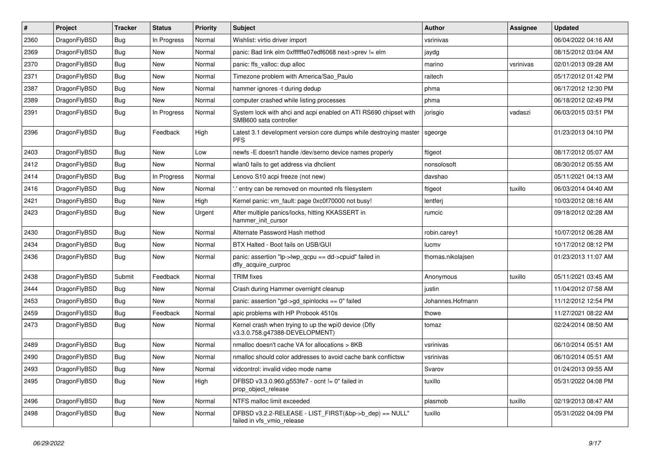| #    | Project      | <b>Tracker</b> | <b>Status</b> | <b>Priority</b> | Subject                                                                                    | <b>Author</b>     | Assignee  | <b>Updated</b>      |
|------|--------------|----------------|---------------|-----------------|--------------------------------------------------------------------------------------------|-------------------|-----------|---------------------|
| 2360 | DragonFlyBSD | Bug            | In Progress   | Normal          | Wishlist: virtio driver import                                                             | vsrinivas         |           | 06/04/2022 04:16 AM |
| 2369 | DragonFlyBSD | Bug            | <b>New</b>    | Normal          | panic: Bad link elm 0xffffffe07edf6068 next->prev != elm                                   | jaydg             |           | 08/15/2012 03:04 AM |
| 2370 | DragonFlyBSD | <b>Bug</b>     | New           | Normal          | panic: ffs valloc: dup alloc                                                               | marino            | vsrinivas | 02/01/2013 09:28 AM |
| 2371 | DragonFlyBSD | <b>Bug</b>     | New           | Normal          | Timezone problem with America/Sao_Paulo                                                    | raitech           |           | 05/17/2012 01:42 PM |
| 2387 | DragonFlyBSD | Bug            | <b>New</b>    | Normal          | hammer ignores -t during dedup                                                             | phma              |           | 06/17/2012 12:30 PM |
| 2389 | DragonFlyBSD | <b>Bug</b>     | <b>New</b>    | Normal          | computer crashed while listing processes                                                   | phma              |           | 06/18/2012 02:49 PM |
| 2391 | DragonFlyBSD | Bug            | In Progress   | Normal          | System lock with ahci and acpi enabled on ATI RS690 chipset with<br>SMB600 sata controller | jorisgio          | vadaszi   | 06/03/2015 03:51 PM |
| 2396 | DragonFlyBSD | <b>Bug</b>     | Feedback      | High            | Latest 3.1 development version core dumps while destroying master<br><b>PFS</b>            | sgeorge           |           | 01/23/2013 04:10 PM |
| 2403 | DragonFlyBSD | Bug            | <b>New</b>    | Low             | newfs -E doesn't handle /dev/serno device names properly                                   | ftigeot           |           | 08/17/2012 05:07 AM |
| 2412 | DragonFlyBSD | Bug            | <b>New</b>    | Normal          | wlan0 fails to get address via dhclient                                                    | nonsolosoft       |           | 08/30/2012 05:55 AM |
| 2414 | DragonFlyBSD | <b>Bug</b>     | In Progress   | Normal          | Lenovo S10 acpi freeze (not new)                                                           | davshao           |           | 05/11/2021 04:13 AM |
| 2416 | DragonFlyBSD | <b>Bug</b>     | <b>New</b>    | Normal          | ".' entry can be removed on mounted nfs filesystem                                         | ftigeot           | tuxillo   | 06/03/2014 04:40 AM |
| 2421 | DragonFlyBSD | <b>Bug</b>     | <b>New</b>    | High            | Kernel panic: vm_fault: page 0xc0f70000 not busy!                                          | lentferj          |           | 10/03/2012 08:16 AM |
| 2423 | DragonFlyBSD | Bug            | New           | Urgent          | After multiple panics/locks, hitting KKASSERT in<br>hammer_init_cursor                     | rumcic            |           | 09/18/2012 02:28 AM |
| 2430 | DragonFlyBSD | Bug            | <b>New</b>    | Normal          | Alternate Password Hash method                                                             | robin.carey1      |           | 10/07/2012 06:28 AM |
| 2434 | DragonFlyBSD | <b>Bug</b>     | <b>New</b>    | Normal          | BTX Halted - Boot fails on USB/GUI                                                         | lucmv             |           | 10/17/2012 08:12 PM |
| 2436 | DragonFlyBSD | <b>Bug</b>     | New           | Normal          | panic: assertion "lp->lwp_qcpu == dd->cpuid" failed in<br>dfly_acquire_curproc             | thomas.nikolajsen |           | 01/23/2013 11:07 AM |
| 2438 | DragonFlyBSD | Submit         | Feedback      | Normal          | <b>TRIM</b> fixes                                                                          | Anonymous         | tuxillo   | 05/11/2021 03:45 AM |
| 2444 | DragonFlyBSD | Bug            | New           | Normal          | Crash during Hammer overnight cleanup                                                      | justin            |           | 11/04/2012 07:58 AM |
| 2453 | DragonFlyBSD | <b>Bug</b>     | New           | Normal          | panic: assertion "gd->gd spinlocks == $0$ " failed                                         | Johannes.Hofmann  |           | 11/12/2012 12:54 PM |
| 2459 | DragonFlyBSD | <b>Bug</b>     | Feedback      | Normal          | apic problems with HP Probook 4510s                                                        | thowe             |           | 11/27/2021 08:22 AM |
| 2473 | DragonFlyBSD | Bug            | <b>New</b>    | Normal          | Kernel crash when trying to up the wpi0 device (Dfly<br>v3.3.0.758.g47388-DEVELOPMENT)     | tomaz             |           | 02/24/2014 08:50 AM |
| 2489 | DragonFlyBSD | Bug            | <b>New</b>    | Normal          | nmalloc doesn't cache VA for allocations > 8KB                                             | vsrinivas         |           | 06/10/2014 05:51 AM |
| 2490 | DragonFlyBSD | <b>Bug</b>     | New           | Normal          | nmalloc should color addresses to avoid cache bank conflictsw                              | vsrinivas         |           | 06/10/2014 05:51 AM |
| 2493 | DragonFlyBSD | <b>Bug</b>     | New           | Normal          | vidcontrol: invalid video mode name                                                        | Svarov            |           | 01/24/2013 09:55 AM |
| 2495 | DragonFlyBSD | <b>Bug</b>     | New           | High            | DFBSD v3.3.0.960.g553fe7 - ocnt != 0" failed in<br>prop object release                     | tuxillo           |           | 05/31/2022 04:08 PM |
| 2496 | DragonFlyBSD | <b>Bug</b>     | New           | Normal          | NTFS malloc limit exceeded                                                                 | plasmob           | tuxillo   | 02/19/2013 08:47 AM |
| 2498 | DragonFlyBSD | <b>Bug</b>     | New           | Normal          | DFBSD v3.2.2-RELEASE - LIST_FIRST(&bp->b_dep) == NULL"<br>failed in vfs vmio release       | tuxillo           |           | 05/31/2022 04:09 PM |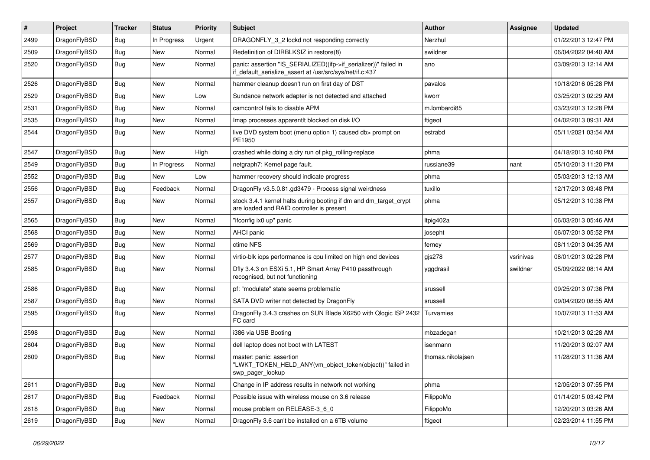| $\vert$ # | Project      | <b>Tracker</b> | <b>Status</b> | <b>Priority</b> | <b>Subject</b>                                                                                                               | <b>Author</b>     | <b>Assignee</b> | <b>Updated</b>      |
|-----------|--------------|----------------|---------------|-----------------|------------------------------------------------------------------------------------------------------------------------------|-------------------|-----------------|---------------------|
| 2499      | DragonFlyBSD | <b>Bug</b>     | In Progress   | Urgent          | DRAGONFLY_3_2 lockd not responding correctly                                                                                 | Nerzhul           |                 | 01/22/2013 12:47 PM |
| 2509      | DragonFlyBSD | <b>Bug</b>     | <b>New</b>    | Normal          | Redefinition of DIRBLKSIZ in restore(8)                                                                                      | swildner          |                 | 06/04/2022 04:40 AM |
| 2520      | DragonFlyBSD | <b>Bug</b>     | <b>New</b>    | Normal          | panic: assertion "IS_SERIALIZED((ifp->if_serializer))" failed in<br>if_default_serialize_assert at /usr/src/sys/net/if.c:437 | ano               |                 | 03/09/2013 12:14 AM |
| 2526      | DragonFlyBSD | <b>Bug</b>     | <b>New</b>    | Normal          | hammer cleanup doesn't run on first day of DST                                                                               | pavalos           |                 | 10/18/2016 05:28 PM |
| 2529      | DragonFlyBSD | <b>Bug</b>     | New           | Low             | Sundance network adapter is not detected and attached                                                                        | kworr             |                 | 03/25/2013 02:29 AM |
| 2531      | DragonFlyBSD | Bug            | <b>New</b>    | Normal          | camcontrol fails to disable APM                                                                                              | m.lombardi85      |                 | 03/23/2013 12:28 PM |
| 2535      | DragonFlyBSD | <b>Bug</b>     | <b>New</b>    | Normal          | Imap processes apparentlt blocked on disk I/O                                                                                | ftigeot           |                 | 04/02/2013 09:31 AM |
| 2544      | DragonFlyBSD | Bug            | <b>New</b>    | Normal          | live DVD system boot (menu option 1) caused db> prompt on<br>PE1950                                                          | estrabd           |                 | 05/11/2021 03:54 AM |
| 2547      | DragonFlyBSD | <b>Bug</b>     | <b>New</b>    | High            | crashed while doing a dry run of pkg_rolling-replace                                                                         | phma              |                 | 04/18/2013 10:40 PM |
| 2549      | DragonFlyBSD | Bug            | In Progress   | Normal          | netgraph7: Kernel page fault.                                                                                                | russiane39        | nant            | 05/10/2013 11:20 PM |
| 2552      | DragonFlyBSD | <b>Bug</b>     | <b>New</b>    | Low             | hammer recovery should indicate progress                                                                                     | phma              |                 | 05/03/2013 12:13 AM |
| 2556      | DragonFlyBSD | <b>Bug</b>     | Feedback      | Normal          | DragonFly v3.5.0.81.gd3479 - Process signal weirdness                                                                        | tuxillo           |                 | 12/17/2013 03:48 PM |
| 2557      | DragonFlyBSD | Bug            | <b>New</b>    | Normal          | stock 3.4.1 kernel halts during booting if dm and dm_target_crypt<br>are loaded and RAID controller is present               | phma              |                 | 05/12/2013 10:38 PM |
| 2565      | DragonFlyBSD | Bug            | <b>New</b>    | Normal          | "ifconfig ix0 up" panic                                                                                                      | ltpig402a         |                 | 06/03/2013 05:46 AM |
| 2568      | DragonFlyBSD | <b>Bug</b>     | <b>New</b>    | Normal          | <b>AHCI</b> panic                                                                                                            | josepht           |                 | 06/07/2013 05:52 PM |
| 2569      | DragonFlyBSD | Bug            | <b>New</b>    | Normal          | ctime NFS                                                                                                                    | ferney            |                 | 08/11/2013 04:35 AM |
| 2577      | DragonFlyBSD | Bug            | <b>New</b>    | Normal          | virtio-blk iops performance is cpu limited on high end devices                                                               | gjs278            | vsrinivas       | 08/01/2013 02:28 PM |
| 2585      | DragonFlyBSD | Bug            | New           | Normal          | Dfly 3.4.3 on ESXi 5.1, HP Smart Array P410 passthrough<br>recognised, but not functioning                                   | yggdrasil         | swildner        | 05/09/2022 08:14 AM |
| 2586      | DragonFlyBSD | Bug            | <b>New</b>    | Normal          | pf: "modulate" state seems problematic                                                                                       | srussell          |                 | 09/25/2013 07:36 PM |
| 2587      | DragonFlyBSD | <b>Bug</b>     | <b>New</b>    | Normal          | SATA DVD writer not detected by DragonFly                                                                                    | srussell          |                 | 09/04/2020 08:55 AM |
| 2595      | DragonFlyBSD | Bug            | <b>New</b>    | Normal          | DragonFly 3.4.3 crashes on SUN Blade X6250 with Qlogic ISP 2432<br>FC card                                                   | Turvamies         |                 | 10/07/2013 11:53 AM |
| 2598      | DragonFlyBSD | <b>Bug</b>     | <b>New</b>    | Normal          | i386 via USB Booting                                                                                                         | mbzadegan         |                 | 10/21/2013 02:28 AM |
| 2604      | DragonFlyBSD | Bug            | <b>New</b>    | Normal          | dell laptop does not boot with LATEST                                                                                        | isenmann          |                 | 11/20/2013 02:07 AM |
| 2609      | DragonFlyBSD | Bug            | <b>New</b>    | Normal          | master: panic: assertion<br>"LWKT_TOKEN_HELD_ANY(vm_object_token(object))" failed in<br>swp_pager_lookup                     | thomas.nikolajsen |                 | 11/28/2013 11:36 AM |
| 2611      | DragonFlyBSD | <b>Bug</b>     | New           | Normal          | Change in IP address results in network not working                                                                          | phma              |                 | 12/05/2013 07:55 PM |
| 2617      | DragonFlyBSD | Bug            | Feedback      | Normal          | Possible issue with wireless mouse on 3.6 release                                                                            | FilippoMo         |                 | 01/14/2015 03:42 PM |
| 2618      | DragonFlyBSD | Bug            | New           | Normal          | mouse problem on RELEASE-3_6_0                                                                                               | FilippoMo         |                 | 12/20/2013 03:26 AM |
| 2619      | DragonFlyBSD | <b>Bug</b>     | New           | Normal          | DragonFly 3.6 can't be installed on a 6TB volume                                                                             | ftigeot           |                 | 02/23/2014 11:55 PM |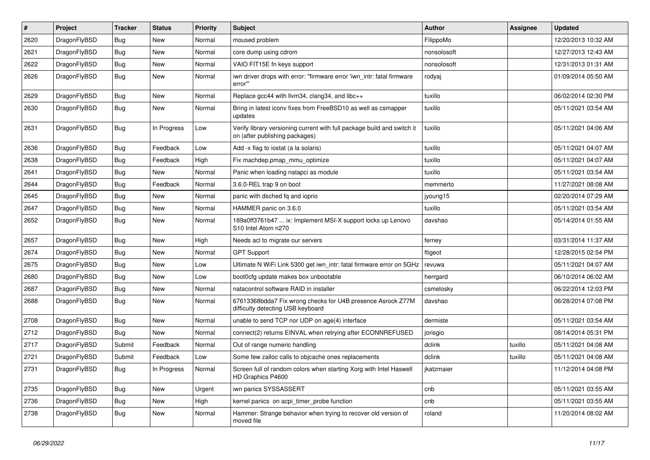| #    | Project      | <b>Tracker</b> | <b>Status</b> | <b>Priority</b> | <b>Subject</b>                                                                                            | Author      | Assignee | <b>Updated</b>      |
|------|--------------|----------------|---------------|-----------------|-----------------------------------------------------------------------------------------------------------|-------------|----------|---------------------|
| 2620 | DragonFlyBSD | <b>Bug</b>     | <b>New</b>    | Normal          | moused problem                                                                                            | FilippoMo   |          | 12/20/2013 10:32 AM |
| 2621 | DragonFlyBSD | Bug            | <b>New</b>    | Normal          | core dump using cdrom                                                                                     | nonsolosoft |          | 12/27/2013 12:43 AM |
| 2622 | DragonFlyBSD | <b>Bug</b>     | <b>New</b>    | Normal          | VAIO FIT15E fn keys support                                                                               | nonsolosoft |          | 12/31/2013 01:31 AM |
| 2626 | DragonFlyBSD | Bug            | New           | Normal          | iwn driver drops with error: "firmware error 'iwn_intr: fatal firmware<br>error'"                         | rodyaj      |          | 01/09/2014 05:50 AM |
| 2629 | DragonFlyBSD | Bug            | New           | Normal          | Replace gcc44 with llvm34, clang34, and libc++                                                            | tuxillo     |          | 06/02/2014 02:30 PM |
| 2630 | DragonFlyBSD | Bug            | <b>New</b>    | Normal          | Bring in latest iconv fixes from FreeBSD10 as well as csmapper<br>updates                                 | tuxillo     |          | 05/11/2021 03:54 AM |
| 2631 | DragonFlyBSD | Bug            | In Progress   | Low             | Verify library versioning current with full package build and switch it<br>on (after publishing packages) | tuxillo     |          | 05/11/2021 04:06 AM |
| 2636 | DragonFlyBSD | <b>Bug</b>     | Feedback      | Low             | Add -x flag to iostat (a la solaris)                                                                      | tuxillo     |          | 05/11/2021 04:07 AM |
| 2638 | DragonFlyBSD | Bug            | Feedback      | High            | Fix machdep.pmap_mmu_optimize                                                                             | tuxillo     |          | 05/11/2021 04:07 AM |
| 2641 | DragonFlyBSD | Bug            | New           | Normal          | Panic when loading natapci as module                                                                      | tuxillo     |          | 05/11/2021 03:54 AM |
| 2644 | DragonFlyBSD | <b>Bug</b>     | Feedback      | Normal          | 3.6.0-REL trap 9 on boot                                                                                  | memmerto    |          | 11/27/2021 08:08 AM |
| 2645 | DragonFlyBSD | Bug            | <b>New</b>    | Normal          | panic with dsched fq and ioprio                                                                           | jyoung15    |          | 02/20/2014 07:29 AM |
| 2647 | DragonFlyBSD | <b>Bug</b>     | New           | Normal          | HAMMER panic on 3.6.0                                                                                     | tuxillo     |          | 05/11/2021 03:54 AM |
| 2652 | DragonFlyBSD | Bug            | <b>New</b>    | Normal          | 189a0ff3761b47  ix: Implement MSI-X support locks up Lenovo<br>S10 Intel Atom n270                        | davshao     |          | 05/14/2014 01:55 AM |
| 2657 | DragonFlyBSD | <b>Bug</b>     | <b>New</b>    | High            | Needs acl to migrate our servers                                                                          | ferney      |          | 03/31/2014 11:37 AM |
| 2674 | DragonFlyBSD | Bug            | <b>New</b>    | Normal          | <b>GPT Support</b>                                                                                        | ftigeot     |          | 12/28/2015 02:54 PM |
| 2675 | DragonFlyBSD | Bug            | <b>New</b>    | Low             | Ultimate N WiFi Link 5300 get iwn_intr: fatal firmware error on 5GHz                                      | revuwa      |          | 05/11/2021 04:07 AM |
| 2680 | DragonFlyBSD | <b>Bug</b>     | New           | Low             | boot0cfg update makes box unbootable                                                                      | herrgard    |          | 06/10/2014 06:02 AM |
| 2687 | DragonFlyBSD | Bug            | <b>New</b>    | Normal          | natacontrol software RAID in installer                                                                    | csmelosky   |          | 06/22/2014 12:03 PM |
| 2688 | DragonFlyBSD | <b>Bug</b>     | New           | Normal          | 67613368bdda7 Fix wrong checks for U4B presence Asrock Z77M<br>difficulty detecting USB keyboard          | davshao     |          | 06/28/2014 07:08 PM |
| 2708 | DragonFlyBSD | Bug            | <b>New</b>    | Normal          | unable to send TCP nor UDP on age(4) interface                                                            | dermiste    |          | 05/11/2021 03:54 AM |
| 2712 | DragonFlyBSD | Bug            | <b>New</b>    | Normal          | connect(2) returns EINVAL when retrying after ECONNREFUSED                                                | jorisgio    |          | 08/14/2014 05:31 PM |
| 2717 | DragonFlyBSD | Submit         | Feedback      | Normal          | Out of range numeric handling                                                                             | dclink      | tuxillo  | 05/11/2021 04:08 AM |
| 2721 | DragonFlyBSD | Submit         | Feedback      | Low             | Some few zalloc calls to objcache ones replacements                                                       | dclink      | tuxillo  | 05/11/2021 04:08 AM |
| 2731 | DragonFlyBSD | Bug            | In Progress   | Normal          | Screen full of random colors when starting Xorg with Intel Haswell<br>HD Graphics P4600                   | jkatzmaier  |          | 11/12/2014 04:08 PM |
| 2735 | DragonFlyBSD | <b>Bug</b>     | New           | Urgent          | iwn panics SYSSASSERT                                                                                     | cnb         |          | 05/11/2021 03:55 AM |
| 2736 | DragonFlyBSD | <b>Bug</b>     | New           | High            | kernel panics on acpi_timer_probe function                                                                | cnb         |          | 05/11/2021 03:55 AM |
| 2738 | DragonFlyBSD | <b>Bug</b>     | New           | Normal          | Hammer: Strange behavior when trying to recover old version of<br>moved file                              | roland      |          | 11/20/2014 08:02 AM |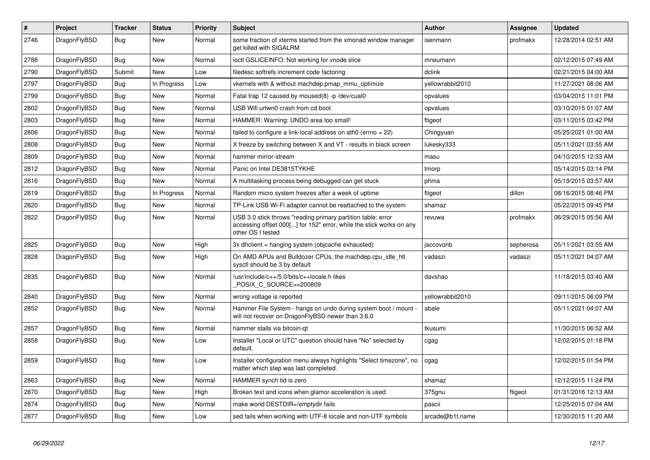| $\vert$ # | Project      | <b>Tracker</b> | <b>Status</b> | <b>Priority</b> | <b>Subject</b>                                                                                                                                           | <b>Author</b>    | Assignee  | <b>Updated</b>      |
|-----------|--------------|----------------|---------------|-----------------|----------------------------------------------------------------------------------------------------------------------------------------------------------|------------------|-----------|---------------------|
| 2746      | DragonFlyBSD | Bug            | New           | Normal          | some fraction of xterms started from the xmonad window manager<br>get killed with SIGALRM                                                                | isenmann         | profmakx  | 12/28/2014 02:51 AM |
| 2788      | DragonFlyBSD | Bug            | <b>New</b>    | Normal          | ioctl GSLICEINFO: Not working for vnode slice                                                                                                            | mneumann         |           | 02/12/2015 07:49 AM |
| 2790      | DragonFlyBSD | Submit         | <b>New</b>    | Low             | filedesc softrefs increment code factoring                                                                                                               | dclink           |           | 02/21/2015 04:00 AM |
| 2797      | DragonFlyBSD | Bug            | In Progress   | Low             | vkernels with & without machdep.pmap mmu optimize                                                                                                        | yellowrabbit2010 |           | 11/27/2021 08:06 AM |
| 2799      | DragonFlyBSD | Bug            | New           | Normal          | Fatal trap 12 caused by moused(8) -p /dev/cual0                                                                                                          | opvalues         |           | 03/04/2015 11:01 PM |
| 2802      | DragonFlyBSD | Bug            | New           | Normal          | USB Wifi urtwn0 crash from cd boot                                                                                                                       | opvalues         |           | 03/10/2015 01:07 AM |
| 2803      | DragonFlyBSD | Bug            | New           | Normal          | HAMMER: Warning: UNDO area too small!                                                                                                                    | ftigeot          |           | 03/11/2015 03:42 PM |
| 2806      | DragonFlyBSD | <b>Bug</b>     | New           | Normal          | failed to configure a link-local address on ath0 (errno = 22)                                                                                            | Chingyuan        |           | 05/25/2021 01:00 AM |
| 2808      | DragonFlyBSD | <b>Bug</b>     | New           | Normal          | X freeze by switching between X and VT - results in black screen                                                                                         | lukesky333       |           | 05/11/2021 03:55 AM |
| 2809      | DragonFlyBSD | Bug            | New           | Normal          | hammer mirror-stream                                                                                                                                     | masu             |           | 04/10/2015 12:33 AM |
| 2812      | DragonFlyBSD | Bug            | <b>New</b>    | Normal          | Panic on Intel DE3815TYKHE                                                                                                                               | tmorp            |           | 05/14/2015 03:14 PM |
| 2816      | DragonFlyBSD | Bug            | New           | Normal          | A multitasking process being debugged can get stuck                                                                                                      | phma             |           | 05/19/2015 03:57 AM |
| 2819      | DragonFlyBSD | <b>Bug</b>     | In Progress   | Normal          | Random micro system freezes after a week of uptime                                                                                                       | ftigeot          | dillon    | 08/16/2015 08:46 PM |
| 2820      | DragonFlyBSD | <b>Bug</b>     | <b>New</b>    | Normal          | TP-Link USB Wi-Fi adapter cannot be reattached to the system                                                                                             | shamaz           |           | 05/22/2015 09:45 PM |
| 2822      | DragonFlyBSD | Bug            | <b>New</b>    | Normal          | USB 3.0 stick throws "reading primary partition table: error<br>accessing offset 000[] for 152" error, while the stick works on any<br>other OS I tested | revuwa           | profmakx  | 06/29/2015 05:56 AM |
| 2825      | DragonFlyBSD | Bug            | New           | High            | 3x dhclient = hanging system (objcache exhausted)                                                                                                        | jaccovonb        | sepherosa | 05/11/2021 03:55 AM |
| 2828      | DragonFlyBSD | <b>Bug</b>     | New           | High            | On AMD APUs and Bulldozer CPUs, the machdep.cpu idle hit<br>sysctl should be 3 by default                                                                | vadaszi          | vadaszi   | 05/11/2021 04:07 AM |
| 2835      | DragonFlyBSD | Bug            | <b>New</b>    | Normal          | /usr/include/c++/5.0/bits/c++locale.h likes<br>POSIX_C_SOURCE>=200809                                                                                    | davshao          |           | 11/18/2015 03:40 AM |
| 2840      | DragonFlyBSD | Bug            | <b>New</b>    | Normal          | wrong voltage is reported                                                                                                                                | vellowrabbit2010 |           | 09/11/2015 06:09 PM |
| 2852      | DragonFlyBSD | <b>Bug</b>     | <b>New</b>    | Normal          | Hammer File System - hangs on undo during system boot / mount -<br>will not recover on DragonFlyBSD newer than 3.6.0                                     | abale            |           | 05/11/2021 04:07 AM |
| 2857      | DragonFlyBSD | Bug            | <b>New</b>    | Normal          | hammer stalls via bitcoin-gt                                                                                                                             | tkusumi          |           | 11/30/2015 06:52 AM |
| 2858      | DragonFlyBSD | Bug            | <b>New</b>    | Low             | Installer "Local or UTC" question should have "No" selected by<br>default.                                                                               | cgag             |           | 12/02/2015 01:18 PM |
| 2859      | DragonFlyBSD | Bug            | <b>New</b>    | Low             | Installer configuration menu always highlights "Select timezone", no<br>matter which step was last completed.                                            | cgag             |           | 12/02/2015 01:54 PM |
| 2863      | DragonFlyBSD | Bug            | New           | Normal          | HAMMER synch tid is zero                                                                                                                                 | shamaz           |           | 12/12/2015 11:24 PM |
| 2870      | DragonFlyBSD | Bug            | New           | High            | Broken text and icons when glamor acceleration is used                                                                                                   | 375gnu           | ftigeot   | 01/31/2016 12:13 AM |
| 2874      | DragonFlyBSD | <b>Bug</b>     | New           | Normal          | make world DESTDIR=/emptydir fails                                                                                                                       | pascii           |           | 12/25/2015 07:04 AM |
| 2877      | DragonFlyBSD | Bug            | New           | Low             | sed fails when working with UTF-8 locale and non-UTF symbols                                                                                             | arcade@b1t.name  |           | 12/30/2015 11:20 AM |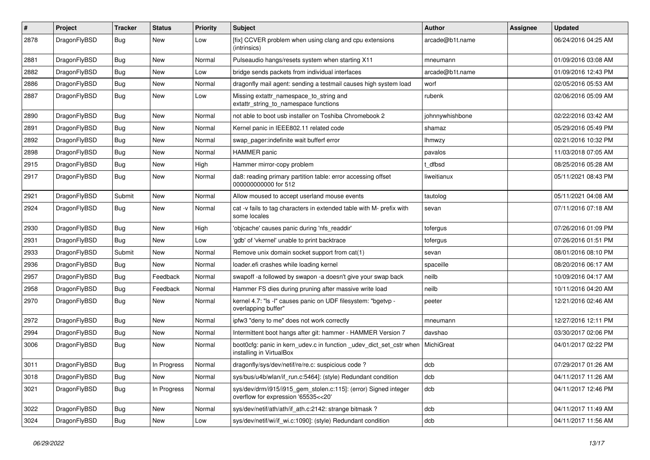| $\#$ | Project      | <b>Tracker</b> | <b>Status</b> | <b>Priority</b> | Subject                                                                                                | <b>Author</b>   | <b>Assignee</b> | <b>Updated</b>      |
|------|--------------|----------------|---------------|-----------------|--------------------------------------------------------------------------------------------------------|-----------------|-----------------|---------------------|
| 2878 | DragonFlyBSD | Bug            | New           | Low             | [fix] CCVER problem when using clang and cpu extensions<br>(intrinsics)                                | arcade@b1t.name |                 | 06/24/2016 04:25 AM |
| 2881 | DragonFlyBSD | Bug            | New           | Normal          | Pulseaudio hangs/resets system when starting X11                                                       | mneumann        |                 | 01/09/2016 03:08 AM |
| 2882 | DragonFlyBSD | Bug            | <b>New</b>    | Low             | bridge sends packets from individual interfaces                                                        | arcade@b1t.name |                 | 01/09/2016 12:43 PM |
| 2886 | DragonFlyBSD | Bug            | New           | Normal          | dragonfly mail agent: sending a testmail causes high system load                                       | worf            |                 | 02/05/2016 05:53 AM |
| 2887 | DragonFlyBSD | Bug            | <b>New</b>    | Low             | Missing extattr_namespace_to_string and<br>extattr_string_to_namespace functions                       | rubenk          |                 | 02/06/2016 05:09 AM |
| 2890 | DragonFlyBSD | Bug            | New           | Normal          | not able to boot usb installer on Toshiba Chromebook 2                                                 | johnnywhishbone |                 | 02/22/2016 03:42 AM |
| 2891 | DragonFlyBSD | Bug            | New           | Normal          | Kernel panic in IEEE802.11 related code                                                                | shamaz          |                 | 05/29/2016 05:49 PM |
| 2892 | DragonFlyBSD | Bug            | <b>New</b>    | Normal          | swap_pager:indefinite wait bufferf error                                                               | lhmwzy          |                 | 02/21/2016 10:32 PM |
| 2898 | DragonFlyBSD | Bug            | New           | Normal          | HAMMER panic                                                                                           | pavalos         |                 | 11/03/2018 07:05 AM |
| 2915 | DragonFlyBSD | Bug            | New           | High            | Hammer mirror-copy problem                                                                             | t dfbsd         |                 | 08/25/2016 05:28 AM |
| 2917 | DragonFlyBSD | Bug            | New           | Normal          | da8: reading primary partition table: error accessing offset<br>000000000000 for 512                   | liweitianux     |                 | 05/11/2021 08:43 PM |
| 2921 | DragonFlyBSD | Submit         | New           | Normal          | Allow moused to accept userland mouse events                                                           | tautolog        |                 | 05/11/2021 04:08 AM |
| 2924 | DragonFlyBSD | Bug            | <b>New</b>    | Normal          | cat -v fails to tag characters in extended table with M- prefix with<br>some locales                   | sevan           |                 | 07/11/2016 07:18 AM |
| 2930 | DragonFlyBSD | Bug            | <b>New</b>    | High            | 'objcache' causes panic during 'nfs_readdir'                                                           | tofergus        |                 | 07/26/2016 01:09 PM |
| 2931 | DragonFlyBSD | Bug            | New           | Low             | 'gdb' of 'vkernel' unable to print backtrace                                                           | tofergus        |                 | 07/26/2016 01:51 PM |
| 2933 | DragonFlyBSD | Submit         | New           | Normal          | Remove unix domain socket support from cat(1)                                                          | sevan           |                 | 08/01/2016 08:10 PM |
| 2936 | DragonFlyBSD | <b>Bug</b>     | New           | Normal          | loader.efi crashes while loading kernel                                                                | spaceille       |                 | 08/20/2016 06:17 AM |
| 2957 | DragonFlyBSD | Bug            | Feedback      | Normal          | swapoff -a followed by swapon -a doesn't give your swap back                                           | neilb           |                 | 10/09/2016 04:17 AM |
| 2958 | DragonFlyBSD | Bug            | Feedback      | Normal          | Hammer FS dies during pruning after massive write load                                                 | neilb           |                 | 10/11/2016 04:20 AM |
| 2970 | DragonFlyBSD | Bug            | <b>New</b>    | Normal          | kernel 4.7: "Is -I" causes panic on UDF filesystem: "bgetvp -<br>overlapping buffer"                   | peeter          |                 | 12/21/2016 02:46 AM |
| 2972 | DragonFlyBSD | Bug            | <b>New</b>    | Normal          | ipfw3 "deny to me" does not work correctly                                                             | mneumann        |                 | 12/27/2016 12:11 PM |
| 2994 | DragonFlyBSD | Bug            | New           | Normal          | Intermittent boot hangs after git: hammer - HAMMER Version 7                                           | davshao         |                 | 03/30/2017 02:06 PM |
| 3006 | DragonFlyBSD | Bug            | New           | Normal          | boot0cfg: panic in kern_udev.c in function _udev_dict_set_cstr when<br>installing in VirtualBox        | MichiGreat      |                 | 04/01/2017 02:22 PM |
| 3011 | DragonFlyBSD | Bug            | In Progress   | Normal          | dragonfly/sys/dev/netif/re/re.c: suspicious code?                                                      | dcb             |                 | 07/29/2017 01:26 AM |
| 3018 | DragonFlyBSD | <b>Bug</b>     | New           | Normal          | sys/bus/u4b/wlan/if run.c:5464]: (style) Redundant condition                                           | dcb             |                 | 04/11/2017 11:26 AM |
| 3021 | DragonFlyBSD | <b>Bug</b>     | In Progress   | Normal          | sys/dev/drm/i915/i915_gem_stolen.c:115]: (error) Signed integer<br>overflow for expression '65535<<20' | dcb             |                 | 04/11/2017 12:46 PM |
| 3022 | DragonFlyBSD | <b>Bug</b>     | <b>New</b>    | Normal          | sys/dev/netif/ath/ath/if_ath.c:2142: strange bitmask?                                                  | dcb             |                 | 04/11/2017 11:49 AM |
| 3024 | DragonFlyBSD | <b>Bug</b>     | New           | Low             | sys/dev/netif/wi/if_wi.c:1090]: (style) Redundant condition                                            | dcb             |                 | 04/11/2017 11:56 AM |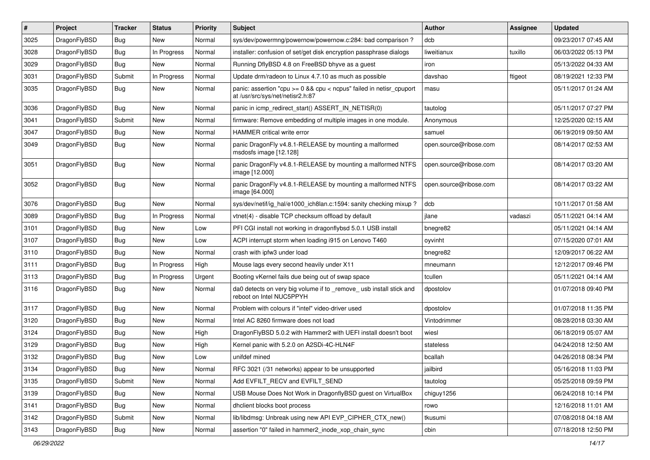| $\vert$ # | Project      | <b>Tracker</b> | <b>Status</b> | <b>Priority</b> | Subject                                                                                                 | <b>Author</b>          | <b>Assignee</b> | <b>Updated</b>      |
|-----------|--------------|----------------|---------------|-----------------|---------------------------------------------------------------------------------------------------------|------------------------|-----------------|---------------------|
| 3025      | DragonFlyBSD | <b>Bug</b>     | New           | Normal          | sys/dev/powermng/powernow/powernow.c:284: bad comparison?                                               | dcb                    |                 | 09/23/2017 07:45 AM |
| 3028      | DragonFlyBSD | Bug            | In Progress   | Normal          | installer: confusion of set/get disk encryption passphrase dialogs                                      | liweitianux            | tuxillo         | 06/03/2022 05:13 PM |
| 3029      | DragonFlyBSD | <b>Bug</b>     | New           | Normal          | Running DflyBSD 4.8 on FreeBSD bhyve as a guest                                                         | iron                   |                 | 05/13/2022 04:33 AM |
| 3031      | DragonFlyBSD | Submit         | In Progress   | Normal          | Update drm/radeon to Linux 4.7.10 as much as possible                                                   | davshao                | ftigeot         | 08/19/2021 12:33 PM |
| 3035      | DragonFlyBSD | <b>Bug</b>     | New           | Normal          | panic: assertion "cpu >= 0 && cpu < ncpus" failed in netisr_cpuport<br>at /usr/src/sys/net/netisr2.h:87 | masu                   |                 | 05/11/2017 01:24 AM |
| 3036      | DragonFlyBSD | Bug            | <b>New</b>    | Normal          | panic in icmp_redirect_start() ASSERT_IN_NETISR(0)                                                      | tautolog               |                 | 05/11/2017 07:27 PM |
| 3041      | DragonFlyBSD | Submit         | <b>New</b>    | Normal          | firmware: Remove embedding of multiple images in one module.                                            | Anonymous              |                 | 12/25/2020 02:15 AM |
| 3047      | DragonFlyBSD | <b>Bug</b>     | New           | Normal          | HAMMER critical write error                                                                             | samuel                 |                 | 06/19/2019 09:50 AM |
| 3049      | DragonFlyBSD | Bug            | New           | Normal          | panic DragonFly v4.8.1-RELEASE by mounting a malformed<br>msdosfs image [12.128]                        | open.source@ribose.com |                 | 08/14/2017 02:53 AM |
| 3051      | DragonFlyBSD | Bug            | <b>New</b>    | Normal          | panic DragonFly v4.8.1-RELEASE by mounting a malformed NTFS<br>image [12.000]                           | open.source@ribose.com |                 | 08/14/2017 03:20 AM |
| 3052      | DragonFlyBSD | <b>Bug</b>     | <b>New</b>    | Normal          | panic DragonFly v4.8.1-RELEASE by mounting a malformed NTFS<br>image [64.000]                           | open.source@ribose.com |                 | 08/14/2017 03:22 AM |
| 3076      | DragonFlyBSD | <b>Bug</b>     | <b>New</b>    | Normal          | sys/dev/netif/ig_hal/e1000_ich8lan.c:1594: sanity checking mixup?                                       | dcb                    |                 | 10/11/2017 01:58 AM |
| 3089      | DragonFlyBSD | <b>Bug</b>     | In Progress   | Normal          | vtnet(4) - disable TCP checksum offload by default                                                      | ilane                  | vadaszi         | 05/11/2021 04:14 AM |
| 3101      | DragonFlyBSD | Bug            | New           | Low             | PFI CGI install not working in dragonflybsd 5.0.1 USB install                                           | bnegre82               |                 | 05/11/2021 04:14 AM |
| 3107      | DragonFlyBSD | <b>Bug</b>     | New           | Low             | ACPI interrupt storm when loading i915 on Lenovo T460                                                   | oyvinht                |                 | 07/15/2020 07:01 AM |
| 3110      | DragonFlyBSD | <b>Bug</b>     | New           | Normal          | crash with ipfw3 under load                                                                             | bnegre82               |                 | 12/09/2017 06:22 AM |
| 3111      | DragonFlyBSD | <b>Bug</b>     | In Progress   | High            | Mouse lags every second heavily under X11                                                               | mneumann               |                 | 12/12/2017 09:46 PM |
| 3113      | DragonFlyBSD | <b>Bug</b>     | In Progress   | Urgent          | Booting vKernel fails due being out of swap space                                                       | tcullen                |                 | 05/11/2021 04:14 AM |
| 3116      | DragonFlyBSD | Bug            | New           | Normal          | da0 detects on very big volume if to _remove_ usb install stick and<br>reboot on Intel NUC5PPYH         | dpostolov              |                 | 01/07/2018 09:40 PM |
| 3117      | DragonFlyBSD | <b>Bug</b>     | New           | Normal          | Problem with colours if "intel" video-driver used                                                       | dpostolov              |                 | 01/07/2018 11:35 PM |
| 3120      | DragonFlyBSD | Bug            | <b>New</b>    | Normal          | Intel AC 8260 firmware does not load                                                                    | Vintodrimmer           |                 | 08/28/2018 03:30 AM |
| 3124      | DragonFlyBSD | <b>Bug</b>     | New           | High            | DragonFlyBSD 5.0.2 with Hammer2 with UEFI install doesn't boot                                          | wiesl                  |                 | 06/18/2019 05:07 AM |
| 3129      | DragonFlyBSD | <b>Bug</b>     | <b>New</b>    | High            | Kernel panic with 5.2.0 on A2SDi-4C-HLN4F                                                               | stateless              |                 | 04/24/2018 12:50 AM |
| 3132      | DragonFlyBSD | <b>Bug</b>     | <b>New</b>    | Low             | unifdef mined                                                                                           | bcallah                |                 | 04/26/2018 08:34 PM |
| 3134      | DragonFlyBSD | Bug            | New           | Normal          | RFC 3021 (/31 networks) appear to be unsupported                                                        | jailbird               |                 | 05/16/2018 11:03 PM |
| 3135      | DragonFlyBSD | Submit         | New           | Normal          | Add EVFILT_RECV and EVFILT_SEND                                                                         | tautolog               |                 | 05/25/2018 09:59 PM |
| 3139      | DragonFlyBSD | <b>Bug</b>     | New           | Normal          | USB Mouse Does Not Work in DragonflyBSD guest on VirtualBox                                             | chiguy1256             |                 | 06/24/2018 10:14 PM |
| 3141      | DragonFlyBSD | Bug            | New           | Normal          | dhclient blocks boot process                                                                            | rowo                   |                 | 12/16/2018 11:01 AM |
| 3142      | DragonFlyBSD | Submit         | New           | Normal          | lib/libdmsg: Unbreak using new API EVP_CIPHER_CTX_new()                                                 | tkusumi                |                 | 07/08/2018 04:18 AM |
| 3143      | DragonFlyBSD | Bug            | New           | Normal          | assertion "0" failed in hammer2 inode xop chain sync                                                    | cbin                   |                 | 07/18/2018 12:50 PM |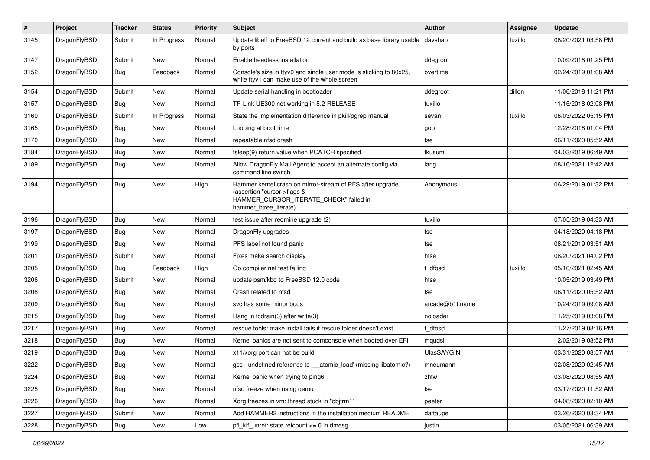| $\sharp$ | Project      | <b>Tracker</b> | <b>Status</b> | <b>Priority</b> | Subject                                                                                                                                                     | <b>Author</b>     | Assignee | <b>Updated</b>      |
|----------|--------------|----------------|---------------|-----------------|-------------------------------------------------------------------------------------------------------------------------------------------------------------|-------------------|----------|---------------------|
| 3145     | DragonFlyBSD | Submit         | In Progress   | Normal          | Update libelf to FreeBSD 12 current and build as base library usable<br>by ports                                                                            | davshao           | tuxillo  | 08/20/2021 03:58 PM |
| 3147     | DragonFlyBSD | Submit         | <b>New</b>    | Normal          | Enable headless installation                                                                                                                                | ddegroot          |          | 10/09/2018 01:25 PM |
| 3152     | DragonFlyBSD | Bug            | Feedback      | Normal          | Console's size in ttyv0 and single user mode is sticking to 80x25,<br>while ttyv1 can make use of the whole screen                                          | overtime          |          | 02/24/2019 01:08 AM |
| 3154     | DragonFlyBSD | Submit         | <b>New</b>    | Normal          | Update serial handling in bootloader                                                                                                                        | ddegroot          | dillon   | 11/06/2018 11:21 PM |
| 3157     | DragonFlyBSD | Bug            | <b>New</b>    | Normal          | TP-Link UE300 not working in 5.2-RELEASE                                                                                                                    | tuxillo           |          | 11/15/2018 02:08 PM |
| 3160     | DragonFlyBSD | Submit         | In Progress   | Normal          | State the implementation difference in pkill/pgrep manual                                                                                                   | sevan             | tuxillo  | 06/03/2022 05:15 PM |
| 3165     | DragonFlyBSD | Bug            | <b>New</b>    | Normal          | Looping at boot time                                                                                                                                        | gop               |          | 12/28/2018 01:04 PM |
| 3170     | DragonFlyBSD | Bug            | <b>New</b>    | Normal          | repeatable nfsd crash                                                                                                                                       | tse               |          | 06/11/2020 05:52 AM |
| 3184     | DragonFlyBSD | <b>Bug</b>     | <b>New</b>    | Normal          | tsleep(9) return value when PCATCH specified                                                                                                                | tkusumi           |          | 04/03/2019 06:49 AM |
| 3189     | DragonFlyBSD | Bug            | New           | Normal          | Allow DragonFly Mail Agent to accept an alternate config via<br>command line switch                                                                         | iang              |          | 08/16/2021 12:42 AM |
| 3194     | DragonFlyBSD | <b>Bug</b>     | <b>New</b>    | High            | Hammer kernel crash on mirror-stream of PFS after upgrade<br>(assertion "cursor->flags &<br>HAMMER CURSOR ITERATE CHECK" failed in<br>hammer btree iterate) | Anonymous         |          | 06/29/2019 01:32 PM |
| 3196     | DragonFlyBSD | Bug            | <b>New</b>    | Normal          | test issue after redmine upgrade (2)                                                                                                                        | tuxillo           |          | 07/05/2019 04:33 AM |
| 3197     | DragonFlyBSD | <b>Bug</b>     | <b>New</b>    | Normal          | DragonFly upgrades                                                                                                                                          | tse               |          | 04/18/2020 04:18 PM |
| 3199     | DragonFlyBSD | Bug            | <b>New</b>    | Normal          | PFS label not found panic                                                                                                                                   | tse               |          | 08/21/2019 03:51 AM |
| 3201     | DragonFlyBSD | Submit         | <b>New</b>    | Normal          | Fixes make search display                                                                                                                                   | htse              |          | 08/20/2021 04:02 PM |
| 3205     | DragonFlyBSD | <b>Bug</b>     | Feedback      | High            | Go compiler net test failing                                                                                                                                | t dfbsd           | tuxillo  | 05/10/2021 02:45 AM |
| 3206     | DragonFlyBSD | Submit         | New           | Normal          | update psm/kbd to FreeBSD 12.0 code                                                                                                                         | htse              |          | 10/05/2019 03:49 PM |
| 3208     | DragonFlyBSD | Bug            | <b>New</b>    | Normal          | Crash related to nfsd                                                                                                                                       | tse               |          | 06/11/2020 05:52 AM |
| 3209     | DragonFlyBSD | <b>Bug</b>     | <b>New</b>    | Normal          | svc has some minor bugs                                                                                                                                     | arcade@b1t.name   |          | 10/24/2019 09:08 AM |
| 3215     | DragonFlyBSD | <b>Bug</b>     | <b>New</b>    | Normal          | Hang in tcdrain(3) after write(3)                                                                                                                           | noloader          |          | 11/25/2019 03:08 PM |
| 3217     | DragonFlyBSD | <b>Bug</b>     | <b>New</b>    | Normal          | rescue tools: make install fails if rescue folder doesn't exist                                                                                             | t dfbsd           |          | 11/27/2019 08:16 PM |
| 3218     | DragonFlyBSD | <b>Bug</b>     | New           | Normal          | Kernel panics are not sent to comconsole when booted over EFI                                                                                               | mqudsi            |          | 12/02/2019 08:52 PM |
| 3219     | DragonFlyBSD | <b>Bug</b>     | <b>New</b>    | Normal          | x11/xorg port can not be build                                                                                                                              | <b>UlasSAYGIN</b> |          | 03/31/2020 08:57 AM |
| 3222     | DragonFlyBSD | <b>Bug</b>     | New           | Normal          | gcc - undefined reference to ' atomic load' (missing libatomic?)                                                                                            | mneumann          |          | 02/08/2020 02:45 AM |
| 3224     | DragonFlyBSD | Bug            | New           | Normal          | Kernel panic when trying to ping6                                                                                                                           | zhtw              |          | 03/08/2020 08:55 AM |
| 3225     | DragonFlyBSD | Bug            | New           | Normal          | nfsd freeze when using gemu                                                                                                                                 | tse               |          | 03/17/2020 11:52 AM |
| 3226     | DragonFlyBSD | <b>Bug</b>     | New           | Normal          | Xorg freezes in vm: thread stuck in "objtrm1"                                                                                                               | peeter            |          | 04/08/2020 02:10 AM |
| 3227     | DragonFlyBSD | Submit         | New           | Normal          | Add HAMMER2 instructions in the installation medium README                                                                                                  | daftaupe          |          | 03/26/2020 03:34 PM |
| 3228     | DragonFlyBSD | Bug            | New           | Low             | pfi kif unref: state refcount $\leq$ 0 in dmesg                                                                                                             | justin            |          | 03/05/2021 06:39 AM |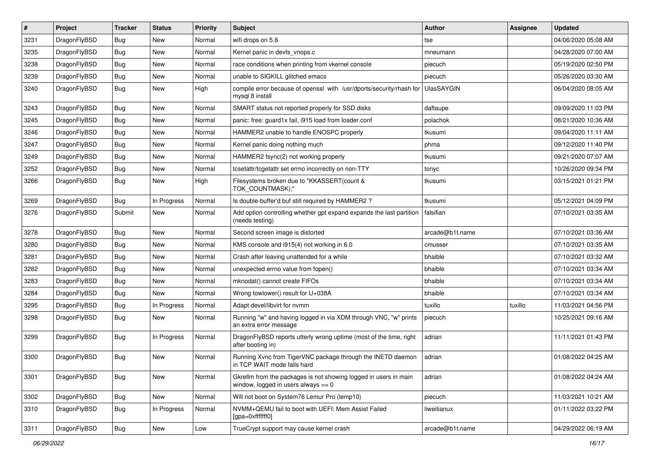| $\vert$ # | Project      | <b>Tracker</b> | <b>Status</b> | <b>Priority</b> | Subject                                                                                                   | Author            | <b>Assignee</b> | <b>Updated</b>      |
|-----------|--------------|----------------|---------------|-----------------|-----------------------------------------------------------------------------------------------------------|-------------------|-----------------|---------------------|
| 3231      | DragonFlyBSD | <b>Bug</b>     | <b>New</b>    | Normal          | wifi drops on 5.8                                                                                         | tse               |                 | 04/06/2020 05:08 AM |
| 3235      | DragonFlyBSD | <b>Bug</b>     | <b>New</b>    | Normal          | Kernel panic in devfs_vnops.c                                                                             | mneumann          |                 | 04/28/2020 07:00 AM |
| 3238      | DragonFlyBSD | <b>Bug</b>     | New           | Normal          | race conditions when printing from vkernel console                                                        | piecuch           |                 | 05/19/2020 02:50 PM |
| 3239      | DragonFlyBSD | Bug            | <b>New</b>    | Normal          | unable to SIGKILL glitched emacs                                                                          | piecuch           |                 | 05/26/2020 03:30 AM |
| 3240      | DragonFlyBSD | Bug            | New           | High            | compile error because of openssl with /usr/dports/security/rhash for<br>mysql 8 install                   | <b>UlasSAYGIN</b> |                 | 06/04/2020 08:05 AM |
| 3243      | DragonFlyBSD | Bug            | <b>New</b>    | Normal          | SMART status not reported properly for SSD disks                                                          | daftaupe          |                 | 09/09/2020 11:03 PM |
| 3245      | DragonFlyBSD | <b>Bug</b>     | New           | Normal          | panic: free: guard1x fail, i915 load from loader.conf                                                     | polachok          |                 | 08/21/2020 10:36 AM |
| 3246      | DragonFlyBSD | Bug            | <b>New</b>    | Normal          | HAMMER2 unable to handle ENOSPC properly                                                                  | tkusumi           |                 | 09/04/2020 11:11 AM |
| 3247      | DragonFlyBSD | <b>Bug</b>     | <b>New</b>    | Normal          | Kernel panic doing nothing much                                                                           | phma              |                 | 09/12/2020 11:40 PM |
| 3249      | DragonFlyBSD | <b>Bug</b>     | <b>New</b>    | Normal          | HAMMER2 fsync(2) not working properly                                                                     | tkusumi           |                 | 09/21/2020 07:07 AM |
| 3252      | DragonFlyBSD | Bug            | <b>New</b>    | Normal          | tcsetattr/tcgetattr set errno incorrectly on non-TTY                                                      | tonyc             |                 | 10/26/2020 09:34 PM |
| 3266      | DragonFlyBSD | Bug            | New           | High            | Filesystems broken due to "KKASSERT(count &<br>TOK_COUNTMASK);"                                           | tkusumi           |                 | 03/15/2021 01:21 PM |
| 3269      | DragonFlyBSD | Bug            | In Progress   | Normal          | Is double-buffer'd buf still required by HAMMER2?                                                         | tkusumi           |                 | 05/12/2021 04:09 PM |
| 3276      | DragonFlyBSD | Submit         | New           | Normal          | Add option controlling whether gpt expand expands the last partition<br>(needs testing)                   | falsifian         |                 | 07/10/2021 03:35 AM |
| 3278      | DragonFlyBSD | <b>Bug</b>     | <b>New</b>    | Normal          | Second screen image is distorted                                                                          | arcade@b1t.name   |                 | 07/10/2021 03:36 AM |
| 3280      | DragonFlyBSD | <b>Bug</b>     | <b>New</b>    | Normal          | KMS console and i915(4) not working in 6.0                                                                | cmusser           |                 | 07/10/2021 03:35 AM |
| 3281      | DragonFlyBSD | Bug            | <b>New</b>    | Normal          | Crash after leaving unattended for a while                                                                | bhaible           |                 | 07/10/2021 03:32 AM |
| 3282      | DragonFlyBSD | <b>Bug</b>     | New           | Normal          | unexpected errno value from fopen()                                                                       | bhaible           |                 | 07/10/2021 03:34 AM |
| 3283      | DragonFlyBSD | <b>Bug</b>     | <b>New</b>    | Normal          | mknodat() cannot create FIFOs                                                                             | bhaible           |                 | 07/10/2021 03:34 AM |
| 3284      | DragonFlyBSD | <b>Bug</b>     | New           | Normal          | Wrong towlower() result for U+038A                                                                        | bhaible           |                 | 07/10/2021 03:34 AM |
| 3295      | DragonFlyBSD | <b>Bug</b>     | In Progress   | Normal          | Adapt devel/libvirt for nvmm                                                                              | tuxillo           | tuxillo         | 11/03/2021 04:56 PM |
| 3298      | DragonFlyBSD | Bug            | New           | Normal          | Running "w" and having logged in via XDM through VNC, "w" prints<br>an extra error message                | piecuch           |                 | 10/25/2021 09:16 AM |
| 3299      | DragonFlyBSD | <b>Bug</b>     | In Progress   | Normal          | DragonFlyBSD reports utterly wrong uptime (most of the time, right<br>after booting in)                   | adrian            |                 | 11/11/2021 01:43 PM |
| 3300      | DragonFlyBSD | Bug            | New           | Normal          | Running Xvnc from TigerVNC package through the INETD daemon<br>in TCP WAIT mode fails hard                | adrian            |                 | 01/08/2022 04:25 AM |
| 3301      | DragonFlyBSD | Bug            | New           | Normal          | Gkrellm from the packages is not showing logged in users in main<br>window, logged in users always $== 0$ | adrian            |                 | 01/08/2022 04:24 AM |
| 3302      | DragonFlyBSD | <b>Bug</b>     | New           | Normal          | Will not boot on System76 Lemur Pro (lemp10)                                                              | piecuch           |                 | 11/03/2021 10:21 AM |
| 3310      | DragonFlyBSD | Bug            | In Progress   | Normal          | NVMM+QEMU fail to boot with UEFI: Mem Assist Failed<br>[gpa=0xfffffff0]                                   | liweitianux       |                 | 01/11/2022 03:22 PM |
| 3311      | DragonFlyBSD | <b>Bug</b>     | New           | Low             | TrueCrypt support may cause kernel crash                                                                  | arcade@b1t.name   |                 | 04/29/2022 06:19 AM |